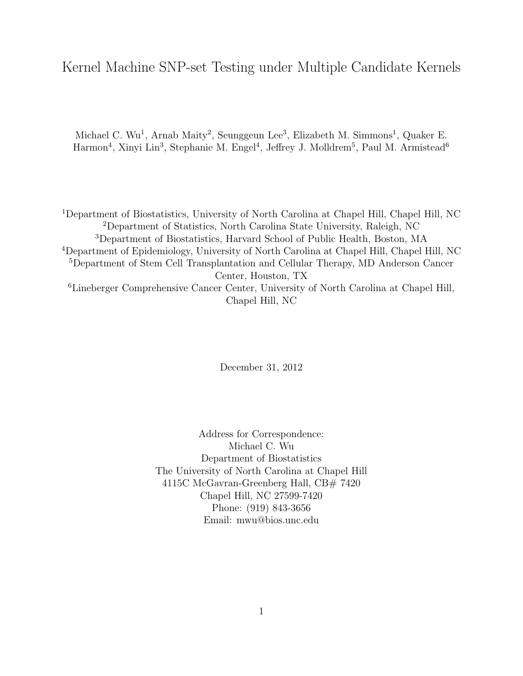Kernel Machine SNP-set Testing under Multiple Candidate Kernels

Michael C. Wu<sup>1</sup>, Arnab Maity<sup>2</sup>, Seunggeun Lee<sup>3</sup>, Elizabeth M. Simmons<sup>1</sup>, Quaker E. Harmon<sup>4</sup>, Xinyi Lin<sup>3</sup>, Stephanie M. Engel<sup>4</sup>, Jeffrey J. Molldrem<sup>5</sup>, Paul M. Armistead<sup>6</sup>

Department of Biostatistics, University of North Carolina at Chapel Hill, Chapel Hill, NC Department of Statistics, North Carolina State University, Raleigh, NC Department of Biostatistics, Harvard School of Public Health, Boston, MA Department of Epidemiology, University of North Carolina at Chapel Hill, Chapel Hill, NC Department of Stem Cell Transplantation and Cellular Therapy, MD Anderson Cancer Center, Houston, TX Lineberger Comprehensive Cancer Center, University of North Carolina at Chapel Hill, Chapel Hill, NC

December 31, 2012

Address for Correspondence: Michael C. Wu Department of Biostatistics The University of North Carolina at Chapel Hill 4115C McGavran-Greenberg Hall, CB# 7420 Chapel Hill, NC 27599-7420 Phone: (919) 843-3656 Email: mwu@bios.unc.edu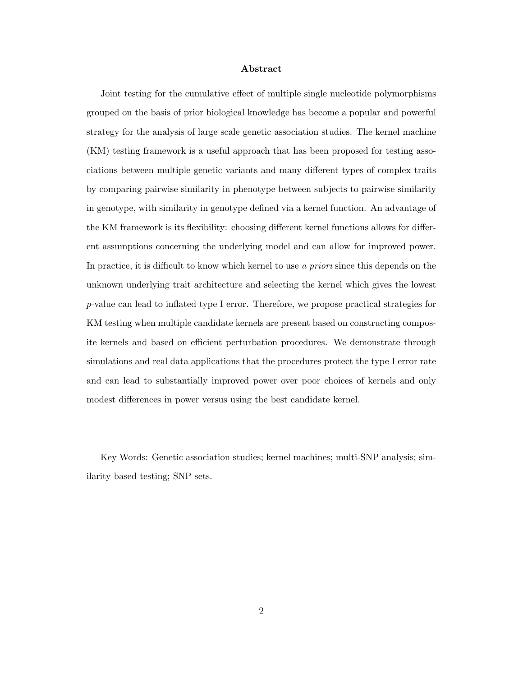#### Abstract

Joint testing for the cumulative effect of multiple single nucleotide polymorphisms grouped on the basis of prior biological knowledge has become a popular and powerful strategy for the analysis of large scale genetic association studies. The kernel machine (KM) testing framework is a useful approach that has been proposed for testing associations between multiple genetic variants and many different types of complex traits by comparing pairwise similarity in phenotype between subjects to pairwise similarity in genotype, with similarity in genotype defined via a kernel function. An advantage of the KM framework is its flexibility: choosing different kernel functions allows for different assumptions concerning the underlying model and can allow for improved power. In practice, it is difficult to know which kernel to use a priori since this depends on the unknown underlying trait architecture and selecting the kernel which gives the lowest p-value can lead to inflated type I error. Therefore, we propose practical strategies for KM testing when multiple candidate kernels are present based on constructing composite kernels and based on efficient perturbation procedures. We demonstrate through simulations and real data applications that the procedures protect the type I error rate and can lead to substantially improved power over poor choices of kernels and only modest differences in power versus using the best candidate kernel.

Key Words: Genetic association studies; kernel machines; multi-SNP analysis; similarity based testing; SNP sets.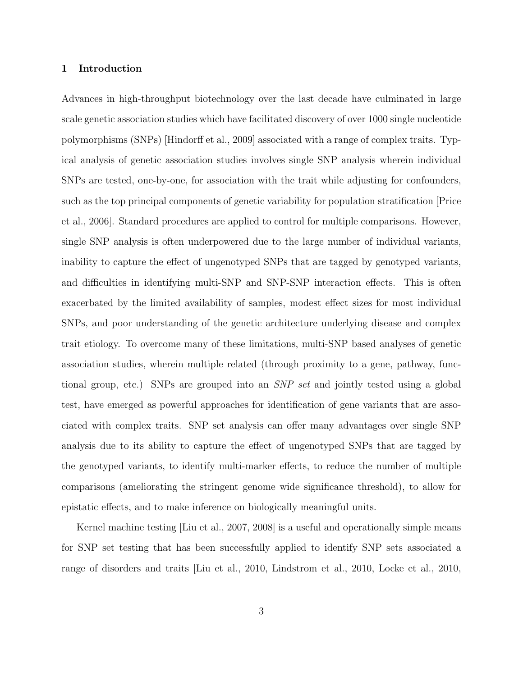### 1 Introduction

Advances in high-throughput biotechnology over the last decade have culminated in large scale genetic association studies which have facilitated discovery of over 1000 single nucleotide polymorphisms (SNPs) [Hindorff et al., 2009] associated with a range of complex traits. Typical analysis of genetic association studies involves single SNP analysis wherein individual SNPs are tested, one-by-one, for association with the trait while adjusting for confounders, such as the top principal components of genetic variability for population stratification [Price et al., 2006]. Standard procedures are applied to control for multiple comparisons. However, single SNP analysis is often underpowered due to the large number of individual variants, inability to capture the effect of ungenotyped SNPs that are tagged by genotyped variants, and difficulties in identifying multi-SNP and SNP-SNP interaction effects. This is often exacerbated by the limited availability of samples, modest effect sizes for most individual SNPs, and poor understanding of the genetic architecture underlying disease and complex trait etiology. To overcome many of these limitations, multi-SNP based analyses of genetic association studies, wherein multiple related (through proximity to a gene, pathway, functional group, etc.) SNPs are grouped into an SNP set and jointly tested using a global test, have emerged as powerful approaches for identification of gene variants that are associated with complex traits. SNP set analysis can offer many advantages over single SNP analysis due to its ability to capture the effect of ungenotyped SNPs that are tagged by the genotyped variants, to identify multi-marker effects, to reduce the number of multiple comparisons (ameliorating the stringent genome wide significance threshold), to allow for epistatic effects, and to make inference on biologically meaningful units.

Kernel machine testing [Liu et al., 2007, 2008] is a useful and operationally simple means for SNP set testing that has been successfully applied to identify SNP sets associated a range of disorders and traits [Liu et al., 2010, Lindstrom et al., 2010, Locke et al., 2010,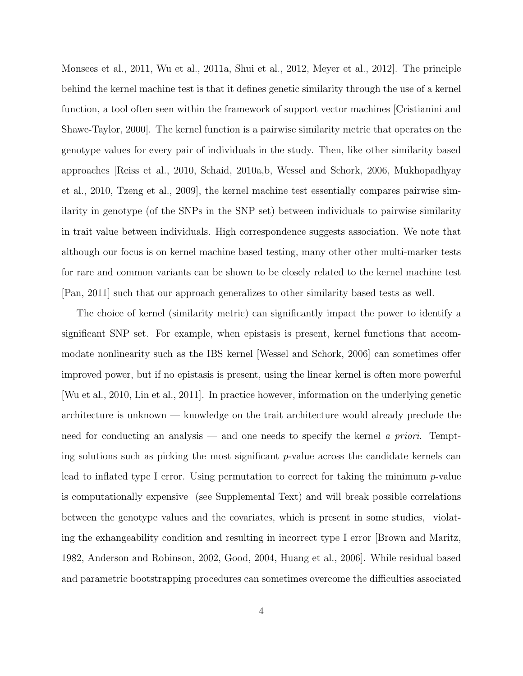Monsees et al., 2011, Wu et al., 2011a, Shui et al., 2012, Meyer et al., 2012]. The principle behind the kernel machine test is that it defines genetic similarity through the use of a kernel function, a tool often seen within the framework of support vector machines [Cristianini and Shawe-Taylor, 2000]. The kernel function is a pairwise similarity metric that operates on the genotype values for every pair of individuals in the study. Then, like other similarity based approaches [Reiss et al., 2010, Schaid, 2010a,b, Wessel and Schork, 2006, Mukhopadhyay et al., 2010, Tzeng et al., 2009], the kernel machine test essentially compares pairwise similarity in genotype (of the SNPs in the SNP set) between individuals to pairwise similarity in trait value between individuals. High correspondence suggests association. We note that although our focus is on kernel machine based testing, many other other multi-marker tests for rare and common variants can be shown to be closely related to the kernel machine test [Pan, 2011] such that our approach generalizes to other similarity based tests as well.

The choice of kernel (similarity metric) can significantly impact the power to identify a significant SNP set. For example, when epistasis is present, kernel functions that accommodate nonlinearity such as the IBS kernel [Wessel and Schork, 2006] can sometimes offer improved power, but if no epistasis is present, using the linear kernel is often more powerful [Wu et al., 2010, Lin et al., 2011]. In practice however, information on the underlying genetic architecture is unknown — knowledge on the trait architecture would already preclude the need for conducting an analysis — and one needs to specify the kernel a priori. Tempting solutions such as picking the most significant  $p$ -value across the candidate kernels can lead to inflated type I error. Using permutation to correct for taking the minimum  $p$ -value is computationally expensive (see Supplemental Text) and will break possible correlations between the genotype values and the covariates, which is present in some studies, violating the exhangeability condition and resulting in incorrect type I error [Brown and Maritz, 1982, Anderson and Robinson, 2002, Good, 2004, Huang et al., 2006]. While residual based and parametric bootstrapping procedures can sometimes overcome the difficulties associated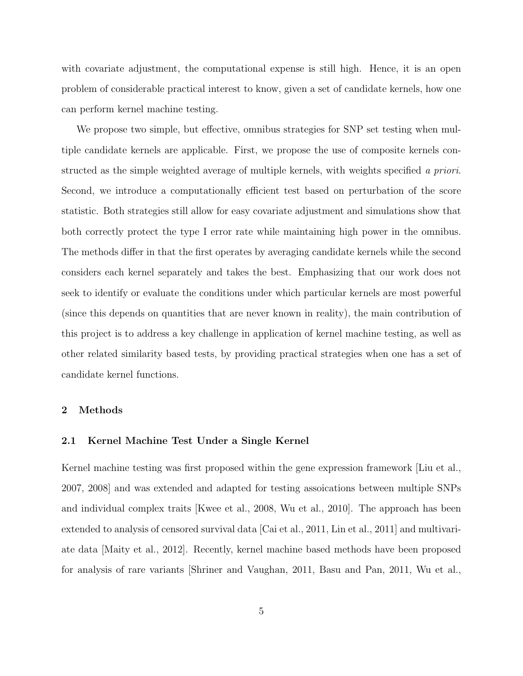with covariate adjustment, the computational expense is still high. Hence, it is an open problem of considerable practical interest to know, given a set of candidate kernels, how one can perform kernel machine testing.

We propose two simple, but effective, omnibus strategies for SNP set testing when multiple candidate kernels are applicable. First, we propose the use of composite kernels constructed as the simple weighted average of multiple kernels, with weights specified a priori. Second, we introduce a computationally efficient test based on perturbation of the score statistic. Both strategies still allow for easy covariate adjustment and simulations show that both correctly protect the type I error rate while maintaining high power in the omnibus. The methods differ in that the first operates by averaging candidate kernels while the second considers each kernel separately and takes the best. Emphasizing that our work does not seek to identify or evaluate the conditions under which particular kernels are most powerful (since this depends on quantities that are never known in reality), the main contribution of this project is to address a key challenge in application of kernel machine testing, as well as other related similarity based tests, by providing practical strategies when one has a set of candidate kernel functions.

#### 2 Methods

# 2.1 Kernel Machine Test Under a Single Kernel

Kernel machine testing was first proposed within the gene expression framework [Liu et al., 2007, 2008] and was extended and adapted for testing assoications between multiple SNPs and individual complex traits [Kwee et al., 2008, Wu et al., 2010]. The approach has been extended to analysis of censored survival data [Cai et al., 2011, Lin et al., 2011] and multivariate data [Maity et al., 2012]. Recently, kernel machine based methods have been proposed for analysis of rare variants [Shriner and Vaughan, 2011, Basu and Pan, 2011, Wu et al.,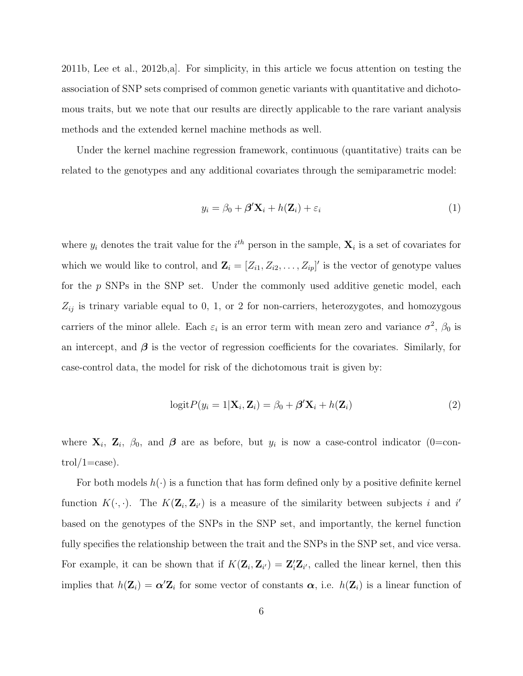2011b, Lee et al., 2012b,a]. For simplicity, in this article we focus attention on testing the association of SNP sets comprised of common genetic variants with quantitative and dichotomous traits, but we note that our results are directly applicable to the rare variant analysis methods and the extended kernel machine methods as well.

Under the kernel machine regression framework, continuous (quantitative) traits can be related to the genotypes and any additional covariates through the semiparametric model:

$$
y_i = \beta_0 + \beta' \mathbf{X}_i + h(\mathbf{Z}_i) + \varepsilon_i \tag{1}
$$

where  $y_i$  denotes the trait value for the  $i^{th}$  person in the sample,  $\mathbf{X}_i$  is a set of covariates for which we would like to control, and  $\mathbf{Z}_i = [Z_{i1}, Z_{i2}, \dots, Z_{ip}]'$  is the vector of genotype values for the  $p$  SNPs in the SNP set. Under the commonly used additive genetic model, each  $Z_{ij}$  is trinary variable equal to 0, 1, or 2 for non-carriers, heterozygotes, and homozygous carriers of the minor allele. Each  $\varepsilon_i$  is an error term with mean zero and variance  $\sigma^2$ ,  $\beta_0$  is an intercept, and  $\beta$  is the vector of regression coefficients for the covariates. Similarly, for case-control data, the model for risk of the dichotomous trait is given by:

$$
logit P(y_i = 1 | \mathbf{X}_i, \mathbf{Z}_i) = \beta_0 + \beta' \mathbf{X}_i + h(\mathbf{Z}_i)
$$
\n(2)

where  $X_i$ ,  $Z_i$ ,  $\beta_0$ , and  $\beta$  are as before, but  $y_i$  is now a case-control indicator (0=con- $\text{trol}/1=\text{case}$ ).

For both models  $h(\cdot)$  is a function that has form defined only by a positive definite kernel function  $K(\cdot, \cdot)$ . The  $K(\mathbf{Z}_i, \mathbf{Z}_{i'})$  is a measure of the similarity between subjects i and i based on the genotypes of the SNPs in the SNP set, and importantly, the kernel function fully specifies the relationship between the trait and the SNPs in the SNP set, and vice versa. For example, it can be shown that if  $K(\mathbf{Z}_i, \mathbf{Z}_{i'}) = \mathbf{Z}_i' \mathbf{Z}_{i'}$ , called the linear kernel, then this implies that  $h(\mathbf{Z}_i) = \boldsymbol{\alpha}' \mathbf{Z}_i$  for some vector of constants  $\boldsymbol{\alpha}$ , i.e.  $h(\mathbf{Z}_i)$  is a linear function of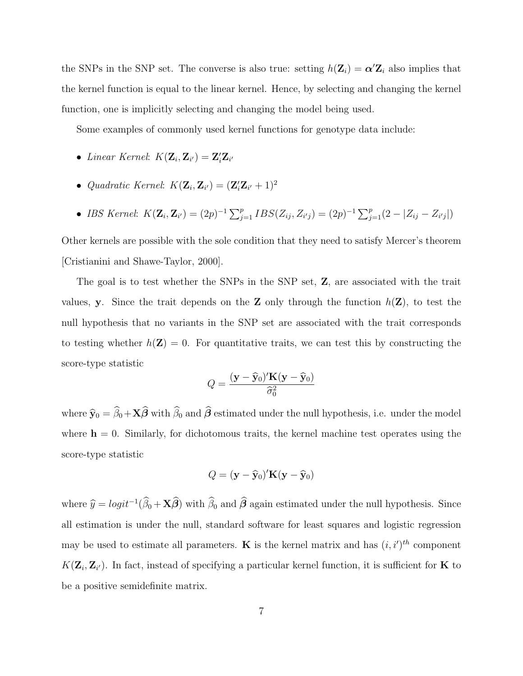the SNPs in the SNP set. The converse is also true: setting  $h(\mathbf{Z}_i) = \alpha' \mathbf{Z}_i$  also implies that the kernel function is equal to the linear kernel. Hence, by selecting and changing the kernel function, one is implicitly selecting and changing the model being used.

Some examples of commonly used kernel functions for genotype data include:

- Linear Kernel:  $K(\mathbf{Z}_i, \mathbf{Z}_{i'}) = \mathbf{Z}_i' \mathbf{Z}_{i'}$
- Quadratic Kernel:  $K(\mathbf{Z}_i, \mathbf{Z}_{i'}) = (\mathbf{Z}_i' \mathbf{Z}_{i'} + 1)^2$

• *IBS Kernel*: 
$$
K(\mathbf{Z}_i, \mathbf{Z}_{i'}) = (2p)^{-1} \sum_{j=1}^p IBS(Z_{ij}, Z_{i'j}) = (2p)^{-1} \sum_{j=1}^p (2 - |Z_{ij} - Z_{i'j}|)
$$

Other kernels are possible with the sole condition that they need to satisfy Mercer's theorem [Cristianini and Shawe-Taylor, 2000].

The goal is to test whether the SNPs in the SNP set, Z, are associated with the trait values, y. Since the trait depends on the Z only through the function  $h(\mathbf{Z})$ , to test the null hypothesis that no variants in the SNP set are associated with the trait corresponds to testing whether  $h(\mathbf{Z}) = 0$ . For quantitative traits, we can test this by constructing the score-type statistic

$$
Q = \frac{(\mathbf{y} - \widehat{\mathbf{y}}_0)'\mathbf{K}(\mathbf{y} - \widehat{\mathbf{y}}_0)}{\widehat{\sigma}_0^2}
$$

where  $\hat{\mathbf{y}}_0 = \hat{\beta}_0 + \mathbf{X}\hat{\boldsymbol{\beta}}$  with  $\hat{\beta}_0$  and  $\hat{\boldsymbol{\beta}}$  estimated under the null hypothesis, i.e. under the model where  $h = 0$ . Similarly, for dichotomous traits, the kernel machine test operates using the score-type statistic

$$
Q = (\mathbf{y} - \widehat{\mathbf{y}}_0)' \mathbf{K} (\mathbf{y} - \widehat{\mathbf{y}}_0)
$$

where  $\hat{y} = logit^{-1}(\hat{\beta}_0 + \mathbf{X}\hat{\boldsymbol{\beta}})$  with  $\hat{\beta}_0$  and  $\hat{\boldsymbol{\beta}}$  again estimated under the null hypothesis. Since all estimation is under the null, standard software for least squares and logistic regression may be used to estimate all parameters. K is the kernel matrix and has  $(i, i')^{th}$  component  $K(\mathbf{Z}_i, \mathbf{Z}_{i'})$ . In fact, instead of specifying a particular kernel function, it is sufficient for **K** to be a positive semidefinite matrix.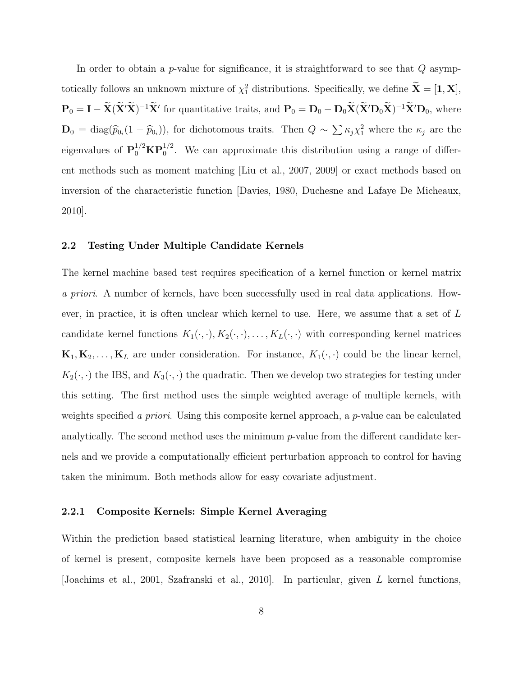In order to obtain a *p*-value for significance, it is straightforward to see that  $Q$  asymptotically follows an unknown mixture of  $\chi_1^2$  distributions. Specifically, we define  $\mathbf{X} = [\mathbf{1}, \mathbf{X}],$  $\mathbf{P}_0 = \mathbf{I} - \mathbf{X}(\mathbf{X}'\mathbf{X})^{-1}\mathbf{X}'$  for quantitative traits, and  $\mathbf{P}_0 = \mathbf{D}_0 - \mathbf{D}_0\mathbf{X}(\mathbf{X}'\mathbf{D}_0\mathbf{X})^{-1}\mathbf{X}'\mathbf{D}_0$ , where  $\mathbf{D}_0 = \text{diag}(\widehat{p}_{0_i}(1-\widehat{p}_{0_i}))$ , for dichotomous traits. Then  $Q \sim \sum \kappa_j \chi_1^2$  where the  $\kappa_j$  are the eigenvalues of  $P_0^{1/2} \text{KP}_0^{1/2}$ . We can approximate this distribution using a range of different methods such as moment matching [Liu et al., 2007, 2009] or exact methods based on inversion of the characteristic function [Davies, 1980, Duchesne and Lafaye De Micheaux, 2010].

## 2.2 Testing Under Multiple Candidate Kernels

The kernel machine based test requires specification of a kernel function or kernel matrix a priori. A number of kernels, have been successfully used in real data applications. However, in practice, it is often unclear which kernel to use. Here, we assume that a set of L candidate kernel functions  $K_1(\cdot, \cdot), K_2(\cdot, \cdot), \ldots, K_L(\cdot, \cdot)$  with corresponding kernel matrices  $\mathbf{K}_1, \mathbf{K}_2, \ldots, \mathbf{K}_L$  are under consideration. For instance,  $K_1(\cdot, \cdot)$  could be the linear kernel,  $K_2(\cdot, \cdot)$  the IBS, and  $K_3(\cdot, \cdot)$  the quadratic. Then we develop two strategies for testing under this setting. The first method uses the simple weighted average of multiple kernels, with weights specified a priori. Using this composite kernel approach, a p-value can be calculated analytically. The second method uses the minimum  $p$ -value from the different candidate kernels and we provide a computationally efficient perturbation approach to control for having taken the minimum. Both methods allow for easy covariate adjustment.

# 2.2.1 Composite Kernels: Simple Kernel Averaging

Within the prediction based statistical learning literature, when ambiguity in the choice of kernel is present, composite kernels have been proposed as a reasonable compromise [Joachims et al., 2001, Szafranski et al., 2010]. In particular, given L kernel functions,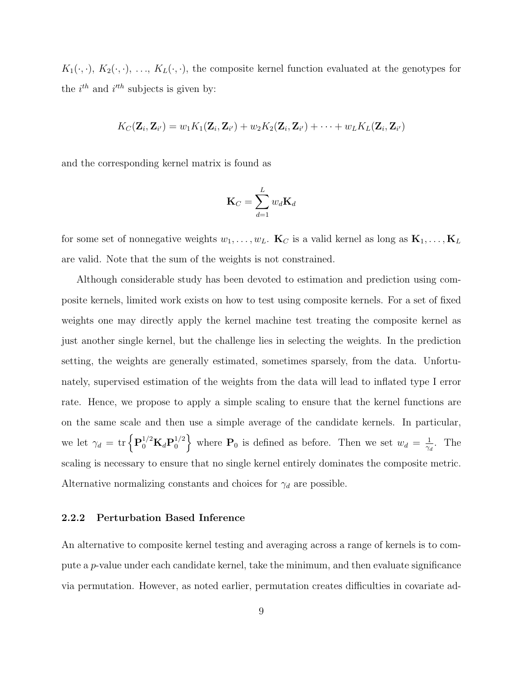$K_1(\cdot, \cdot), K_2(\cdot, \cdot), \ldots, K_L(\cdot, \cdot)$ , the composite kernel function evaluated at the genotypes for the  $i^{th}$  and  $i'^{th}$  subjects is given by:

$$
K_C(\mathbf{Z}_i, \mathbf{Z}_{i'}) = w_1 K_1(\mathbf{Z}_i, \mathbf{Z}_{i'}) + w_2 K_2(\mathbf{Z}_i, \mathbf{Z}_{i'}) + \cdots + w_L K_L(\mathbf{Z}_i, \mathbf{Z}_{i'})
$$

and the corresponding kernel matrix is found as

$$
\mathbf{K}_C = \sum_{d=1}^L w_d \mathbf{K}_d
$$

for some set of nonnegative weights  $w_1, \ldots, w_L$ .  $\mathbf{K}_C$  is a valid kernel as long as  $\mathbf{K}_1, \ldots, \mathbf{K}_L$ are valid. Note that the sum of the weights is not constrained.

Although considerable study has been devoted to estimation and prediction using composite kernels, limited work exists on how to test using composite kernels. For a set of fixed weights one may directly apply the kernel machine test treating the composite kernel as just another single kernel, but the challenge lies in selecting the weights. In the prediction setting, the weights are generally estimated, sometimes sparsely, from the data. Unfortunately, supervised estimation of the weights from the data will lead to inflated type I error rate. Hence, we propose to apply a simple scaling to ensure that the kernel functions are on the same scale and then use a simple average of the candidate kernels. In particular, we let  $\gamma_d = \text{tr} \left\{ \mathbf{P}_0^{1/2} \mathbf{K}_d \mathbf{P}_0^{1/2} \right\}$  $\binom{1/2}{0}$  where  $P_0$  is defined as before. Then we set  $w_d = \frac{1}{\gamma}$  $\frac{1}{\gamma_d}$ . The scaling is necessary to ensure that no single kernel entirely dominates the composite metric. Alternative normalizing constants and choices for  $\gamma_d$  are possible.

#### 2.2.2 Perturbation Based Inference

An alternative to composite kernel testing and averaging across a range of kernels is to compute a  $p$ -value under each candidate kernel, take the minimum, and then evaluate significance via permutation. However, as noted earlier, permutation creates difficulties in covariate ad-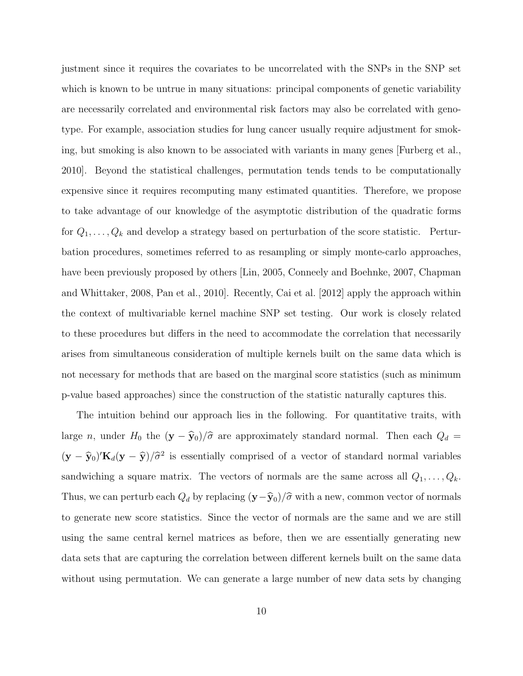justment since it requires the covariates to be uncorrelated with the SNPs in the SNP set which is known to be untrue in many situations: principal components of genetic variability are necessarily correlated and environmental risk factors may also be correlated with genotype. For example, association studies for lung cancer usually require adjustment for smoking, but smoking is also known to be associated with variants in many genes [Furberg et al., 2010]. Beyond the statistical challenges, permutation tends tends to be computationally expensive since it requires recomputing many estimated quantities. Therefore, we propose to take advantage of our knowledge of the asymptotic distribution of the quadratic forms for  $Q_1, \ldots, Q_k$  and develop a strategy based on perturbation of the score statistic. Perturbation procedures, sometimes referred to as resampling or simply monte-carlo approaches, have been previously proposed by others [Lin, 2005, Conneely and Boehnke, 2007, Chapman and Whittaker, 2008, Pan et al., 2010]. Recently, Cai et al. [2012] apply the approach within the context of multivariable kernel machine SNP set testing. Our work is closely related to these procedures but differs in the need to accommodate the correlation that necessarily arises from simultaneous consideration of multiple kernels built on the same data which is not necessary for methods that are based on the marginal score statistics (such as minimum p-value based approaches) since the construction of the statistic naturally captures this.

The intuition behind our approach lies in the following. For quantitative traits, with large n, under  $H_0$  the  $(\mathbf{y} - \hat{\mathbf{y}}_0)/\hat{\sigma}$  are approximately standard normal. Then each  $Q_d$  =  $(\mathbf{y} - \hat{\mathbf{y}}_0)'\mathbf{K}_d(\mathbf{y} - \hat{\mathbf{y}})/\hat{\sigma}^2$  is essentially comprised of a vector of standard normal variables sandwiching a square matrix. The vectors of normals are the same across all  $Q_1, \ldots, Q_k$ . Thus, we can perturb each  $Q_d$  by replacing  $(\mathbf{y}-\hat{\mathbf{y}}_0)/\hat{\sigma}$  with a new, common vector of normals to generate new score statistics. Since the vector of normals are the same and we are still using the same central kernel matrices as before, then we are essentially generating new data sets that are capturing the correlation between different kernels built on the same data without using permutation. We can generate a large number of new data sets by changing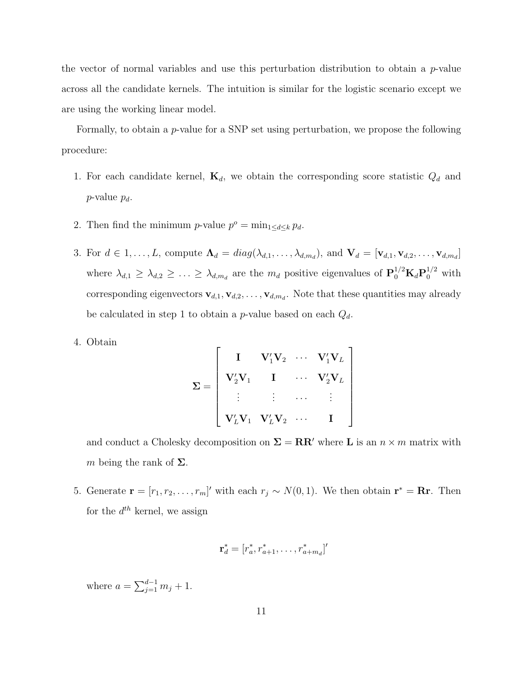the vector of normal variables and use this perturbation distribution to obtain a  $p$ -value across all the candidate kernels. The intuition is similar for the logistic scenario except we are using the working linear model.

Formally, to obtain a p-value for a SNP set using perturbation, we propose the following procedure:

- 1. For each candidate kernel,  $\mathbf{K}_d$ , we obtain the corresponding score statistic  $Q_d$  and  $p$ -value  $p_d$ .
- 2. Then find the minimum p-value  $p^o = \min_{1 \leq d \leq k} p_d$ .
- 3. For  $d \in 1, \ldots, L$ , compute  $\mathbf{\Lambda}_d = diag(\lambda_{d,1}, \ldots, \lambda_{d,m_d})$ , and  $\mathbf{V}_d = [\mathbf{v}_{d,1}, \mathbf{v}_{d,2}, \ldots, \mathbf{v}_{d,m_d}]$ where  $\lambda_{d,1} \geq \lambda_{d,2} \geq \ldots \geq \lambda_{d,m_d}$  are the  $m_d$  positive eigenvalues of  $\mathbf{P}_0^{1/2} \mathbf{K}_d \mathbf{P}_0^{1/2}$  with corresponding eigenvectors  $\mathbf{v}_{d,1}, \mathbf{v}_{d,2}, \ldots, \mathbf{v}_{d,m_d}$ . Note that these quantities may already be calculated in step 1 to obtain a *p*-value based on each  $Q_d$ .
- 4. Obtain

$$
\Sigma = \left[ \begin{array}{cccc} \mathbf{I} & \mathbf{V}_1' \mathbf{V}_2 & \cdots & \mathbf{V}_1' \mathbf{V}_L \\ \mathbf{V}_2' \mathbf{V}_1 & \mathbf{I} & \cdots & \mathbf{V}_2' \mathbf{V}_L \\ \vdots & \vdots & \cdots & \vdots \\ \mathbf{V}_L' \mathbf{V}_1 & \mathbf{V}_L' \mathbf{V}_2 & \cdots & \mathbf{I} \end{array} \right]
$$

and conduct a Cholesky decomposition on  $\Sigma = \mathbb{R}R'$  where L is an  $n \times m$  matrix with m being the rank of  $\Sigma$ .

5. Generate  $\mathbf{r} = [r_1, r_2, \dots, r_m]'$  with each  $r_j \sim N(0, 1)$ . We then obtain  $\mathbf{r}^* = \mathbf{R} \mathbf{r}$ . Then for the  $d^{th}$  kernel, we assign

$$
\mathbf{r}_d^* = [r_a^*, r_{a+1}^*, \dots, r_{a+m_d}^*]'
$$

where  $a = \sum_{j=1}^{d-1} m_j + 1$ .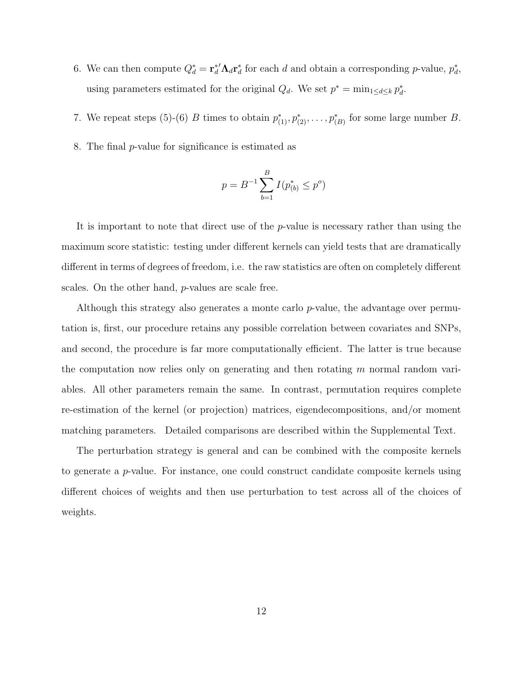- 6. We can then compute  $Q_d^* = \mathbf{r}_d^* \Lambda_d \mathbf{r}_d^*$  for each d and obtain a corresponding p-value,  $p_d^*$ , using parameters estimated for the original  $Q_d$ . We set  $p^* = \min_{1 \le d \le k} p_d^*$ .
- 7. We repeat steps (5)-(6) B times to obtain  $p_{(1)}^*, p_{(2)}^*, \ldots, p_{(B)}^*$  for some large number B.
- 8. The final p-value for significance is estimated as

$$
p = B^{-1} \sum_{b=1}^{B} I(p_{(b)}^{*} \le p^{o})
$$

It is important to note that direct use of the p-value is necessary rather than using the maximum score statistic: testing under different kernels can yield tests that are dramatically different in terms of degrees of freedom, i.e. the raw statistics are often on completely different scales. On the other hand, p-values are scale free.

Although this strategy also generates a monte carlo p-value, the advantage over permutation is, first, our procedure retains any possible correlation between covariates and SNPs, and second, the procedure is far more computationally efficient. The latter is true because the computation now relies only on generating and then rotating  $m$  normal random variables. All other parameters remain the same. In contrast, permutation requires complete re-estimation of the kernel (or projection) matrices, eigendecompositions, and/or moment matching parameters. Detailed comparisons are described within the Supplemental Text.

The perturbation strategy is general and can be combined with the composite kernels to generate a p-value. For instance, one could construct candidate composite kernels using different choices of weights and then use perturbation to test across all of the choices of weights.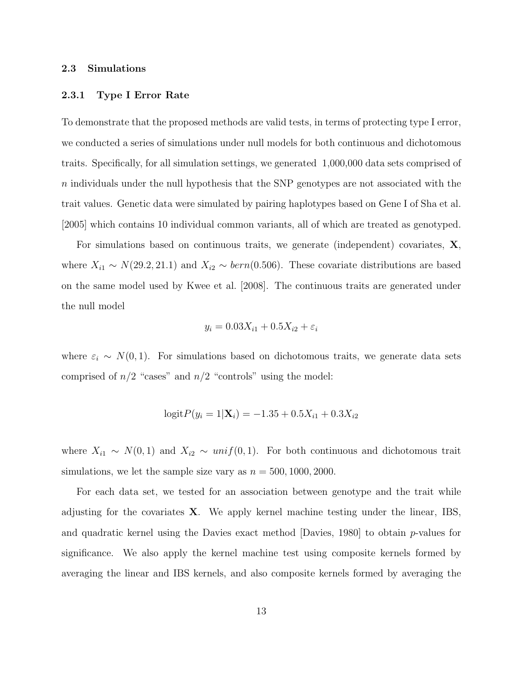### 2.3 Simulations

#### 2.3.1 Type I Error Rate

To demonstrate that the proposed methods are valid tests, in terms of protecting type I error, we conducted a series of simulations under null models for both continuous and dichotomous traits. Specifically, for all simulation settings, we generated 1,000,000 data sets comprised of n individuals under the null hypothesis that the SNP genotypes are not associated with the trait values. Genetic data were simulated by pairing haplotypes based on Gene I of Sha et al. [2005] which contains 10 individual common variants, all of which are treated as genotyped.

For simulations based on continuous traits, we generate (independent) covariates, X, where  $X_{i1} \sim N(29.2, 21.1)$  and  $X_{i2} \sim \text{bern}(0.506)$ . These covariate distributions are based on the same model used by Kwee et al. [2008]. The continuous traits are generated under the null model

$$
y_i = 0.03X_{i1} + 0.5X_{i2} + \varepsilon_i
$$

where  $\varepsilon_i \sim N(0, 1)$ . For simulations based on dichotomous traits, we generate data sets comprised of  $n/2$  "cases" and  $n/2$  "controls" using the model:

$$
logitP(y_i = 1|\mathbf{X}_i) = -1.35 + 0.5X_{i1} + 0.3X_{i2}
$$

where  $X_{i1} \sim N(0, 1)$  and  $X_{i2} \sim unif(0, 1)$ . For both continuous and dichotomous trait simulations, we let the sample size vary as  $n = 500, 1000, 2000$ .

For each data set, we tested for an association between genotype and the trait while adjusting for the covariates X. We apply kernel machine testing under the linear, IBS, and quadratic kernel using the Davies exact method  $|$ Davies, 1980 $|$  to obtain p-values for significance. We also apply the kernel machine test using composite kernels formed by averaging the linear and IBS kernels, and also composite kernels formed by averaging the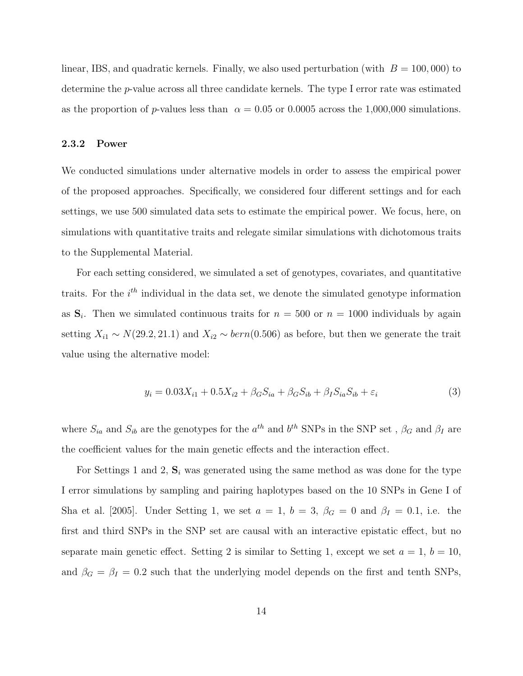linear, IBS, and quadratic kernels. Finally, we also used perturbation (with  $B = 100,000$ ) to determine the p-value across all three candidate kernels. The type I error rate was estimated as the proportion of p-values less than  $\alpha = 0.05$  or 0.0005 across the 1,000,000 simulations.

#### 2.3.2 Power

We conducted simulations under alternative models in order to assess the empirical power of the proposed approaches. Specifically, we considered four different settings and for each settings, we use 500 simulated data sets to estimate the empirical power. We focus, here, on simulations with quantitative traits and relegate similar simulations with dichotomous traits to the Supplemental Material.

For each setting considered, we simulated a set of genotypes, covariates, and quantitative traits. For the  $i^{th}$  individual in the data set, we denote the simulated genotype information as  $S_i$ . Then we simulated continuous traits for  $n = 500$  or  $n = 1000$  individuals by again setting  $X_{i1} \sim N(29.2, 21.1)$  and  $X_{i2} \sim bern(0.506)$  as before, but then we generate the trait value using the alternative model:

$$
y_i = 0.03X_{i1} + 0.5X_{i2} + \beta_G S_{ia} + \beta_G S_{ib} + \beta_I S_{ia} S_{ib} + \varepsilon_i
$$
\n(3)

where  $S_{ia}$  and  $S_{ib}$  are the genotypes for the  $a^{th}$  and  $b^{th}$  SNPs in the SNP set,  $\beta_G$  and  $\beta_I$  are the coefficient values for the main genetic effects and the interaction effect.

For Settings 1 and 2,  $S_i$  was generated using the same method as was done for the type I error simulations by sampling and pairing haplotypes based on the 10 SNPs in Gene I of Sha et al. [2005]. Under Setting 1, we set  $a = 1$ ,  $b = 3$ ,  $\beta_G = 0$  and  $\beta_I = 0.1$ , i.e. the first and third SNPs in the SNP set are causal with an interactive epistatic effect, but no separate main genetic effect. Setting 2 is similar to Setting 1, except we set  $a = 1, b = 10$ , and  $\beta_G = \beta_I = 0.2$  such that the underlying model depends on the first and tenth SNPs,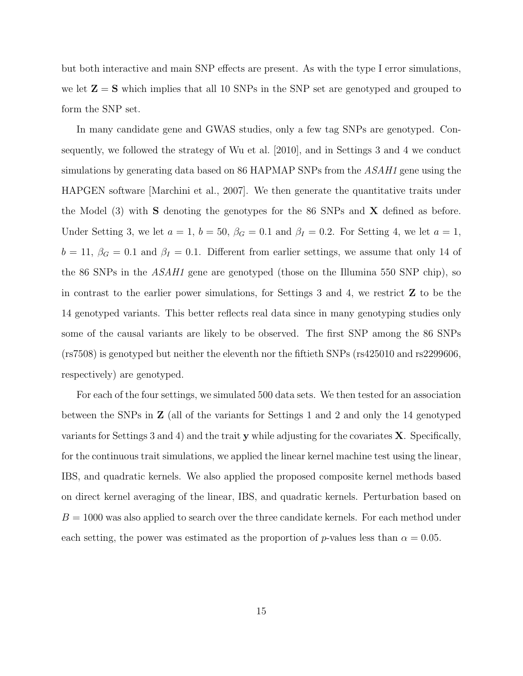but both interactive and main SNP effects are present. As with the type I error simulations, we let  $\mathbf{Z} = \mathbf{S}$  which implies that all 10 SNPs in the SNP set are genotyped and grouped to form the SNP set.

In many candidate gene and GWAS studies, only a few tag SNPs are genotyped. Consequently, we followed the strategy of Wu et al. [2010], and in Settings 3 and 4 we conduct simulations by generating data based on 86 HAPMAP SNPs from the ASAH1 gene using the HAPGEN software [Marchini et al., 2007]. We then generate the quantitative traits under the Model  $(3)$  with S denoting the genotypes for the 86 SNPs and X defined as before. Under Setting 3, we let  $a = 1$ ,  $b = 50$ ,  $\beta_G = 0.1$  and  $\beta_I = 0.2$ . For Setting 4, we let  $a = 1$ ,  $b = 11, \beta_G = 0.1$  and  $\beta_I = 0.1$ . Different from earlier settings, we assume that only 14 of the 86 SNPs in the ASAH1 gene are genotyped (those on the Illumina 550 SNP chip), so in contrast to the earlier power simulations, for Settings 3 and 4, we restrict  $\mathbf Z$  to be the 14 genotyped variants. This better reflects real data since in many genotyping studies only some of the causal variants are likely to be observed. The first SNP among the 86 SNPs (rs7508) is genotyped but neither the eleventh nor the fiftieth SNPs (rs425010 and rs2299606, respectively) are genotyped.

For each of the four settings, we simulated 500 data sets. We then tested for an association between the SNPs in Z (all of the variants for Settings 1 and 2 and only the 14 genotyped variants for Settings 3 and 4) and the trait y while adjusting for the covariates X. Specifically, for the continuous trait simulations, we applied the linear kernel machine test using the linear, IBS, and quadratic kernels. We also applied the proposed composite kernel methods based on direct kernel averaging of the linear, IBS, and quadratic kernels. Perturbation based on  $B = 1000$  was also applied to search over the three candidate kernels. For each method under each setting, the power was estimated as the proportion of p-values less than  $\alpha = 0.05$ .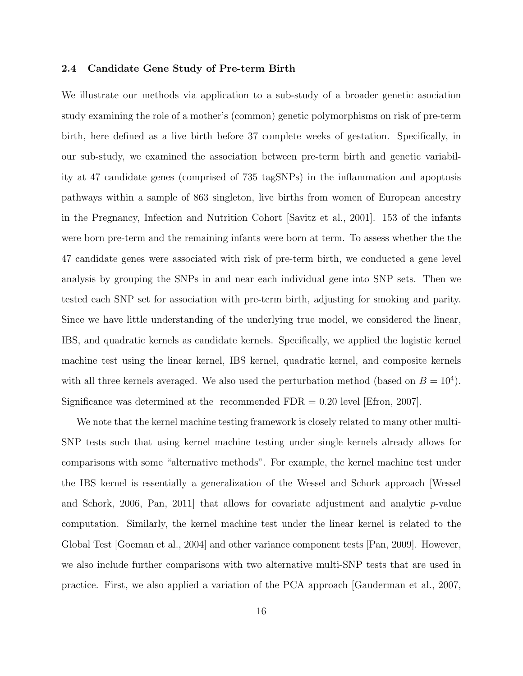#### 2.4 Candidate Gene Study of Pre-term Birth

We illustrate our methods via application to a sub-study of a broader genetic asociation study examining the role of a mother's (common) genetic polymorphisms on risk of pre-term birth, here defined as a live birth before 37 complete weeks of gestation. Specifically, in our sub-study, we examined the association between pre-term birth and genetic variability at 47 candidate genes (comprised of 735 tagSNPs) in the inflammation and apoptosis pathways within a sample of 863 singleton, live births from women of European ancestry in the Pregnancy, Infection and Nutrition Cohort [Savitz et al., 2001]. 153 of the infants were born pre-term and the remaining infants were born at term. To assess whether the the 47 candidate genes were associated with risk of pre-term birth, we conducted a gene level analysis by grouping the SNPs in and near each individual gene into SNP sets. Then we tested each SNP set for association with pre-term birth, adjusting for smoking and parity. Since we have little understanding of the underlying true model, we considered the linear, IBS, and quadratic kernels as candidate kernels. Specifically, we applied the logistic kernel machine test using the linear kernel, IBS kernel, quadratic kernel, and composite kernels with all three kernels averaged. We also used the perturbation method (based on  $B = 10<sup>4</sup>$ ). Significance was determined at the recommended  $FDR = 0.20$  level [Efron, 2007].

We note that the kernel machine testing framework is closely related to many other multi-SNP tests such that using kernel machine testing under single kernels already allows for comparisons with some "alternative methods". For example, the kernel machine test under the IBS kernel is essentially a generalization of the Wessel and Schork approach [Wessel and Schork, 2006, Pan, 2011 that allows for covariate adjustment and analytic  $p$ -value computation. Similarly, the kernel machine test under the linear kernel is related to the Global Test [Goeman et al., 2004] and other variance component tests [Pan, 2009]. However, we also include further comparisons with two alternative multi-SNP tests that are used in practice. First, we also applied a variation of the PCA approach [Gauderman et al., 2007,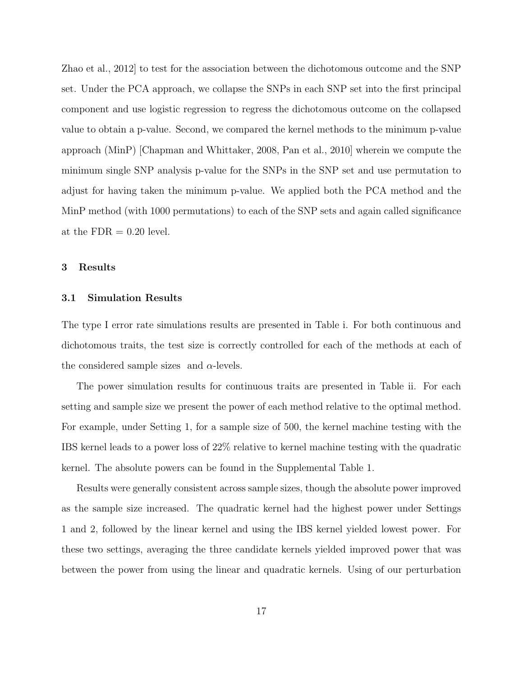Zhao et al., 2012] to test for the association between the dichotomous outcome and the SNP set. Under the PCA approach, we collapse the SNPs in each SNP set into the first principal component and use logistic regression to regress the dichotomous outcome on the collapsed value to obtain a p-value. Second, we compared the kernel methods to the minimum p-value approach (MinP) [Chapman and Whittaker, 2008, Pan et al., 2010] wherein we compute the minimum single SNP analysis p-value for the SNPs in the SNP set and use permutation to adjust for having taken the minimum p-value. We applied both the PCA method and the MinP method (with 1000 permutations) to each of the SNP sets and again called significance at the  $FDR = 0.20$  level.

#### 3 Results

## 3.1 Simulation Results

The type I error rate simulations results are presented in Table i. For both continuous and dichotomous traits, the test size is correctly controlled for each of the methods at each of the considered sample sizes and  $\alpha$ -levels.

The power simulation results for continuous traits are presented in Table ii. For each setting and sample size we present the power of each method relative to the optimal method. For example, under Setting 1, for a sample size of 500, the kernel machine testing with the IBS kernel leads to a power loss of 22% relative to kernel machine testing with the quadratic kernel. The absolute powers can be found in the Supplemental Table 1.

Results were generally consistent across sample sizes, though the absolute power improved as the sample size increased. The quadratic kernel had the highest power under Settings 1 and 2, followed by the linear kernel and using the IBS kernel yielded lowest power. For these two settings, averaging the three candidate kernels yielded improved power that was between the power from using the linear and quadratic kernels. Using of our perturbation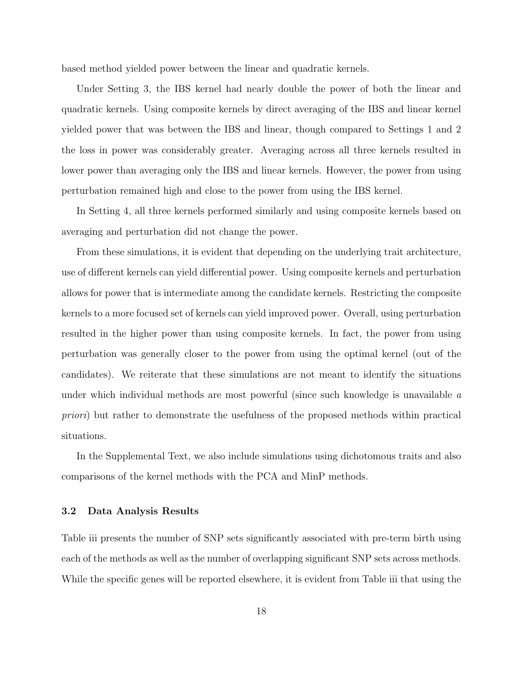based method yielded power between the linear and quadratic kernels.

Under Setting 3, the IBS kernel had nearly double the power of both the linear and quadratic kernels. Using composite kernels by direct averaging of the IBS and linear kernel yielded power that was between the IBS and linear, though compared to Settings 1 and 2 the loss in power was considerably greater. Averaging across all three kernels resulted in lower power than averaging only the IBS and linear kernels. However, the power from using perturbation remained high and close to the power from using the IBS kernel.

In Setting 4, all three kernels performed similarly and using composite kernels based on averaging and perturbation did not change the power.

From these simulations, it is evident that depending on the underlying trait architecture, use of different kernels can yield differential power. Using composite kernels and perturbation allows for power that is intermediate among the candidate kernels. Restricting the composite kernels to a more focused set of kernels can yield improved power. Overall, using perturbation resulted in the higher power than using composite kernels. In fact, the power from using perturbation was generally closer to the power from using the optimal kernel (out of the candidates). We reiterate that these simulations are not meant to identify the situations under which individual methods are most powerful (since such knowledge is unavailable a priori) but rather to demonstrate the usefulness of the proposed methods within practical situations.

In the Supplemental Text, we also include simulations using dichotomous traits and also comparisons of the kernel methods with the PCA and MinP methods.

# 3.2 Data Analysis Results

Table iii presents the number of SNP sets significantly associated with pre-term birth using each of the methods as well as the number of overlapping significant SNP sets across methods. While the specific genes will be reported elsewhere, it is evident from Table iii that using the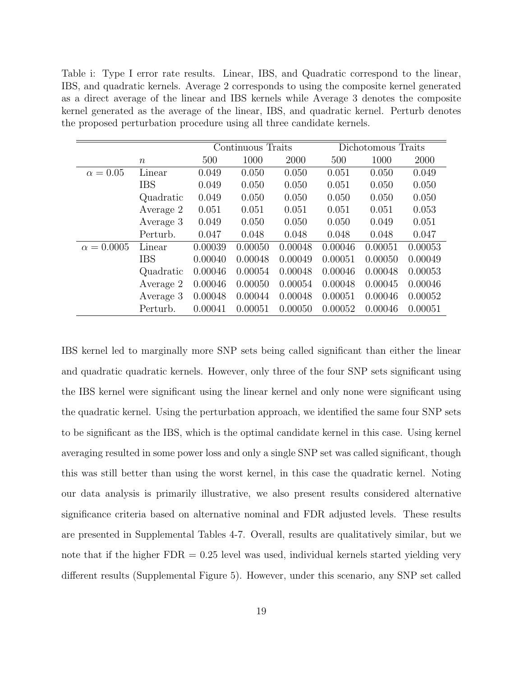Table i: Type I error rate results. Linear, IBS, and Quadratic correspond to the linear, IBS, and quadratic kernels. Average 2 corresponds to using the composite kernel generated as a direct average of the linear and IBS kernels while Average 3 denotes the composite kernel generated as the average of the linear, IBS, and quadratic kernel. Perturb denotes the proposed perturbation procedure using all three candidate kernels.

|                   |                  |         | Continuous Traits |         |         | Dichotomous Traits |         |
|-------------------|------------------|---------|-------------------|---------|---------|--------------------|---------|
|                   | $\boldsymbol{n}$ | 500     | 1000              | 2000    | 500     | 1000               | 2000    |
| $\alpha = 0.05$   | Linear           | 0.049   | 0.050             | 0.050   | 0.051   | 0.050              | 0.049   |
|                   | <b>IBS</b>       | 0.049   | 0.050             | 0.050   | 0.051   | 0.050              | 0.050   |
|                   | Quadratic        | 0.049   | 0.050             | 0.050   | 0.050   | 0.050              | 0.050   |
|                   | Average 2        | 0.051   | 0.051             | 0.051   | 0.051   | 0.051              | 0.053   |
|                   | Average 3        | 0.049   | 0.050             | 0.050   | 0.050   | 0.049              | 0.051   |
|                   | Perturb.         | 0.047   | 0.048             | 0.048   | 0.048   | 0.048              | 0.047   |
| $\alpha = 0.0005$ | Linear           | 0.00039 | 0.00050           | 0.00048 | 0.00046 | 0.00051            | 0.00053 |
|                   | <b>IBS</b>       | 0.00040 | 0.00048           | 0.00049 | 0.00051 | 0.00050            | 0.00049 |
|                   | Quadratic        | 0.00046 | 0.00054           | 0.00048 | 0.00046 | 0.00048            | 0.00053 |
|                   | Average 2        | 0.00046 | 0.00050           | 0.00054 | 0.00048 | 0.00045            | 0.00046 |
|                   | Average 3        | 0.00048 | 0.00044           | 0.00048 | 0.00051 | 0.00046            | 0.00052 |
|                   | Perturb.         | 0.00041 | 0.00051           | 0.00050 | 0.00052 | 0.00046            | 0.00051 |

IBS kernel led to marginally more SNP sets being called significant than either the linear and quadratic quadratic kernels. However, only three of the four SNP sets significant using the IBS kernel were significant using the linear kernel and only none were significant using the quadratic kernel. Using the perturbation approach, we identified the same four SNP sets to be significant as the IBS, which is the optimal candidate kernel in this case. Using kernel averaging resulted in some power loss and only a single SNP set was called significant, though this was still better than using the worst kernel, in this case the quadratic kernel. Noting our data analysis is primarily illustrative, we also present results considered alternative significance criteria based on alternative nominal and FDR adjusted levels. These results are presented in Supplemental Tables 4-7. Overall, results are qualitatively similar, but we note that if the higher  $FDR = 0.25$  level was used, individual kernels started yielding very different results (Supplemental Figure 5). However, under this scenario, any SNP set called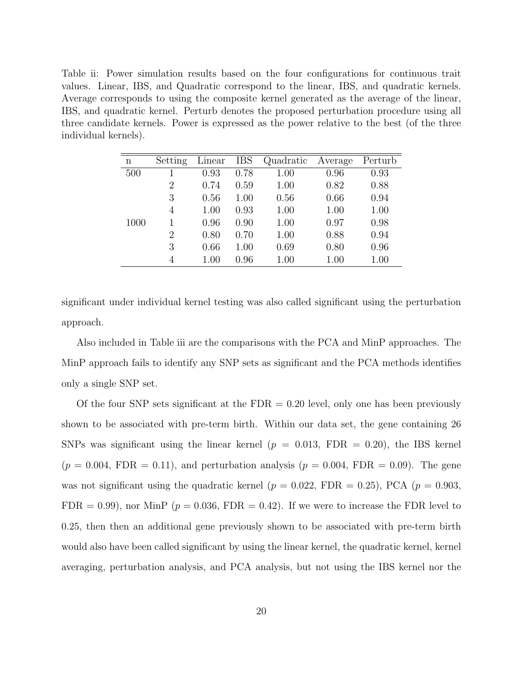Table ii: Power simulation results based on the four configurations for continuous trait values. Linear, IBS, and Quadratic correspond to the linear, IBS, and quadratic kernels. Average corresponds to using the composite kernel generated as the average of the linear, IBS, and quadratic kernel. Perturb denotes the proposed perturbation procedure using all three candidate kernels. Power is expressed as the power relative to the best (of the three individual kernels).

| $\mathbf n$ | Setting        | Linear | <b>IBS</b> | Quadratic | Average | Perturb |
|-------------|----------------|--------|------------|-----------|---------|---------|
| 500         |                | 0.93   | 0.78       | 1.00      | 0.96    | 0.93    |
|             | 2              | 0.74   | 0.59       | 1.00      | 0.82    | 0.88    |
|             | 3              | 0.56   | 1.00       | 0.56      | 0.66    | 0.94    |
|             | $\overline{4}$ | 1.00   | 0.93       | 1.00      | 1.00    | 1.00    |
| 1000        | 1              | 0.96   | 0.90       | 1.00      | 0.97    | 0.98    |
|             | 2              | 0.80   | 0.70       | 1.00      | 0.88    | 0.94    |
|             | 3              | 0.66   | 1.00       | 0.69      | 0.80    | 0.96    |
|             | 4              | 1.00   | 0.96       | 1.00      | 1.00    | 1.00    |

significant under individual kernel testing was also called significant using the perturbation approach.

Also included in Table iii are the comparisons with the PCA and MinP approaches. The MinP approach fails to identify any SNP sets as significant and the PCA methods identifies only a single SNP set.

Of the four SNP sets significant at the  $FDR = 0.20$  level, only one has been previously shown to be associated with pre-term birth. Within our data set, the gene containing 26 SNPs was significant using the linear kernel ( $p = 0.013$ , FDR = 0.20), the IBS kernel  $(p = 0.004, FDR = 0.11)$ , and perturbation analysis  $(p = 0.004, FDR = 0.09)$ . The gene was not significant using the quadratic kernel ( $p = 0.022$ , FDR = 0.25), PCA ( $p = 0.903$ ,  $FDR = 0.99$ , nor MinP ( $p = 0.036$ ,  $FDR = 0.42$ ). If we were to increase the FDR level to 0.25, then then an additional gene previously shown to be associated with pre-term birth would also have been called significant by using the linear kernel, the quadratic kernel, kernel averaging, perturbation analysis, and PCA analysis, but not using the IBS kernel nor the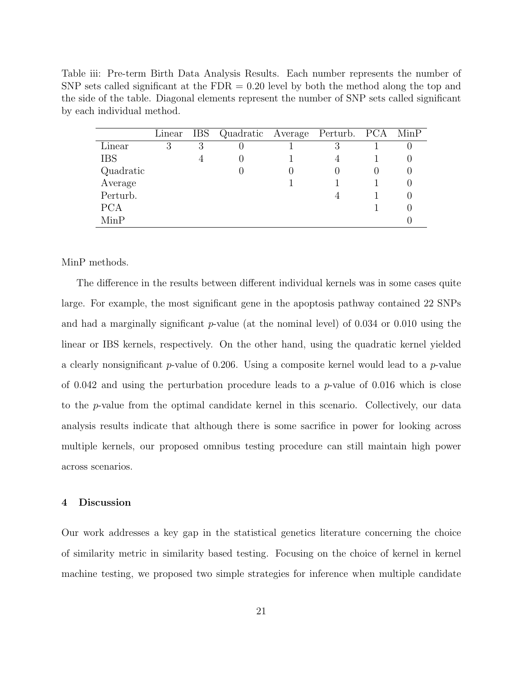Table iii: Pre-term Birth Data Analysis Results. Each number represents the number of SNP sets called significant at the  $FDR = 0.20$  level by both the method along the top and the side of the table. Diagonal elements represent the number of SNP sets called significant by each individual method.

|            | Linear | IBS | Quadratic Average Perturb. PCA MinP |   |  |
|------------|--------|-----|-------------------------------------|---|--|
| Linear     | 3      | 3   |                                     | 3 |  |
| <b>IBS</b> |        |     |                                     |   |  |
| Quadratic  |        |     |                                     |   |  |
| Average    |        |     |                                     |   |  |
| Perturb.   |        |     |                                     |   |  |
| <b>PCA</b> |        |     |                                     |   |  |
| MinP       |        |     |                                     |   |  |

MinP methods.

The difference in the results between different individual kernels was in some cases quite large. For example, the most significant gene in the apoptosis pathway contained 22 SNPs and had a marginally significant  $p$ -value (at the nominal level) of 0.034 or 0.010 using the linear or IBS kernels, respectively. On the other hand, using the quadratic kernel yielded a clearly nonsignificant  $p$ -value of 0.206. Using a composite kernel would lead to a  $p$ -value of 0.042 and using the perturbation procedure leads to a  $p$ -value of 0.016 which is close to the p-value from the optimal candidate kernel in this scenario. Collectively, our data analysis results indicate that although there is some sacrifice in power for looking across multiple kernels, our proposed omnibus testing procedure can still maintain high power across scenarios.

# 4 Discussion

Our work addresses a key gap in the statistical genetics literature concerning the choice of similarity metric in similarity based testing. Focusing on the choice of kernel in kernel machine testing, we proposed two simple strategies for inference when multiple candidate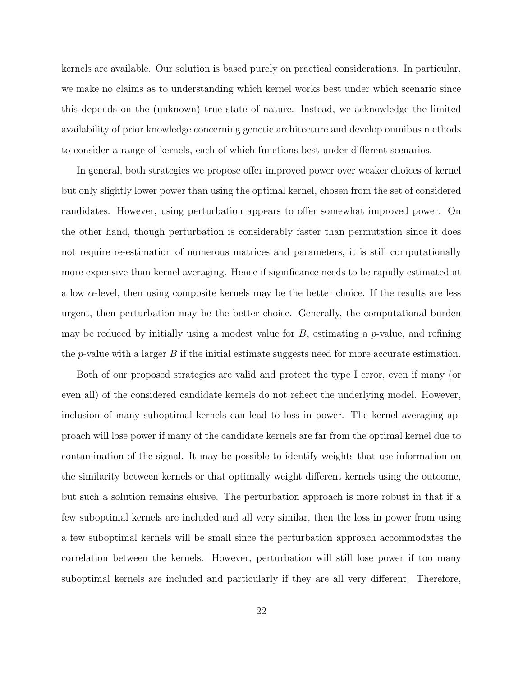kernels are available. Our solution is based purely on practical considerations. In particular, we make no claims as to understanding which kernel works best under which scenario since this depends on the (unknown) true state of nature. Instead, we acknowledge the limited availability of prior knowledge concerning genetic architecture and develop omnibus methods to consider a range of kernels, each of which functions best under different scenarios.

In general, both strategies we propose offer improved power over weaker choices of kernel but only slightly lower power than using the optimal kernel, chosen from the set of considered candidates. However, using perturbation appears to offer somewhat improved power. On the other hand, though perturbation is considerably faster than permutation since it does not require re-estimation of numerous matrices and parameters, it is still computationally more expensive than kernel averaging. Hence if significance needs to be rapidly estimated at a low  $\alpha$ -level, then using composite kernels may be the better choice. If the results are less urgent, then perturbation may be the better choice. Generally, the computational burden may be reduced by initially using a modest value for  $B$ , estimating a p-value, and refining the p-value with a larger  $B$  if the initial estimate suggests need for more accurate estimation.

Both of our proposed strategies are valid and protect the type I error, even if many (or even all) of the considered candidate kernels do not reflect the underlying model. However, inclusion of many suboptimal kernels can lead to loss in power. The kernel averaging approach will lose power if many of the candidate kernels are far from the optimal kernel due to contamination of the signal. It may be possible to identify weights that use information on the similarity between kernels or that optimally weight different kernels using the outcome, but such a solution remains elusive. The perturbation approach is more robust in that if a few suboptimal kernels are included and all very similar, then the loss in power from using a few suboptimal kernels will be small since the perturbation approach accommodates the correlation between the kernels. However, perturbation will still lose power if too many suboptimal kernels are included and particularly if they are all very different. Therefore,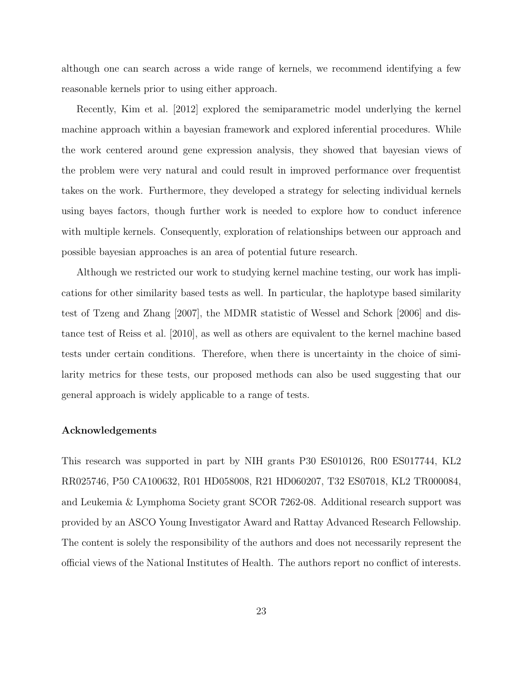although one can search across a wide range of kernels, we recommend identifying a few reasonable kernels prior to using either approach.

Recently, Kim et al. [2012] explored the semiparametric model underlying the kernel machine approach within a bayesian framework and explored inferential procedures. While the work centered around gene expression analysis, they showed that bayesian views of the problem were very natural and could result in improved performance over frequentist takes on the work. Furthermore, they developed a strategy for selecting individual kernels using bayes factors, though further work is needed to explore how to conduct inference with multiple kernels. Consequently, exploration of relationships between our approach and possible bayesian approaches is an area of potential future research.

Although we restricted our work to studying kernel machine testing, our work has implications for other similarity based tests as well. In particular, the haplotype based similarity test of Tzeng and Zhang [2007], the MDMR statistic of Wessel and Schork [2006] and distance test of Reiss et al. [2010], as well as others are equivalent to the kernel machine based tests under certain conditions. Therefore, when there is uncertainty in the choice of similarity metrics for these tests, our proposed methods can also be used suggesting that our general approach is widely applicable to a range of tests.

#### Acknowledgements

This research was supported in part by NIH grants P30 ES010126, R00 ES017744, KL2 RR025746, P50 CA100632, R01 HD058008, R21 HD060207, T32 ES07018, KL2 TR000084, and Leukemia & Lymphoma Society grant SCOR 7262-08. Additional research support was provided by an ASCO Young Investigator Award and Rattay Advanced Research Fellowship. The content is solely the responsibility of the authors and does not necessarily represent the official views of the National Institutes of Health. The authors report no conflict of interests.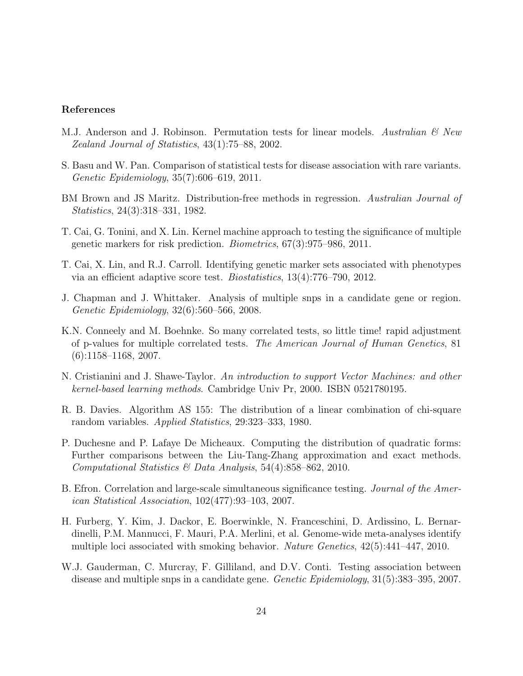# References

- M.J. Anderson and J. Robinson. Permutation tests for linear models. Australian  $\mathcal{C}$  New Zealand Journal of Statistics, 43(1):75–88, 2002.
- S. Basu and W. Pan. Comparison of statistical tests for disease association with rare variants. Genetic Epidemiology, 35(7):606–619, 2011.
- BM Brown and JS Maritz. Distribution-free methods in regression. Australian Journal of Statistics, 24(3):318–331, 1982.
- T. Cai, G. Tonini, and X. Lin. Kernel machine approach to testing the significance of multiple genetic markers for risk prediction. Biometrics, 67(3):975–986, 2011.
- T. Cai, X. Lin, and R.J. Carroll. Identifying genetic marker sets associated with phenotypes via an efficient adaptive score test. Biostatistics, 13(4):776–790, 2012.
- J. Chapman and J. Whittaker. Analysis of multiple snps in a candidate gene or region. Genetic Epidemiology, 32(6):560–566, 2008.
- K.N. Conneely and M. Boehnke. So many correlated tests, so little time! rapid adjustment of p-values for multiple correlated tests. The American Journal of Human Genetics, 81  $(6):1158-1168, 2007.$
- N. Cristianini and J. Shawe-Taylor. An introduction to support Vector Machines: and other kernel-based learning methods. Cambridge Univ Pr, 2000. ISBN 0521780195.
- R. B. Davies. Algorithm AS 155: The distribution of a linear combination of chi-square random variables. Applied Statistics, 29:323–333, 1980.
- P. Duchesne and P. Lafaye De Micheaux. Computing the distribution of quadratic forms: Further comparisons between the Liu-Tang-Zhang approximation and exact methods. Computational Statistics & Data Analysis, 54(4):858–862, 2010.
- B. Efron. Correlation and large-scale simultaneous significance testing. *Journal of the Amer*ican Statistical Association, 102(477):93–103, 2007.
- H. Furberg, Y. Kim, J. Dackor, E. Boerwinkle, N. Franceschini, D. Ardissino, L. Bernardinelli, P.M. Mannucci, F. Mauri, P.A. Merlini, et al. Genome-wide meta-analyses identify multiple loci associated with smoking behavior. Nature Genetics, 42(5):441–447, 2010.
- W.J. Gauderman, C. Murcray, F. Gilliland, and D.V. Conti. Testing association between disease and multiple snps in a candidate gene. Genetic Epidemiology, 31(5):383–395, 2007.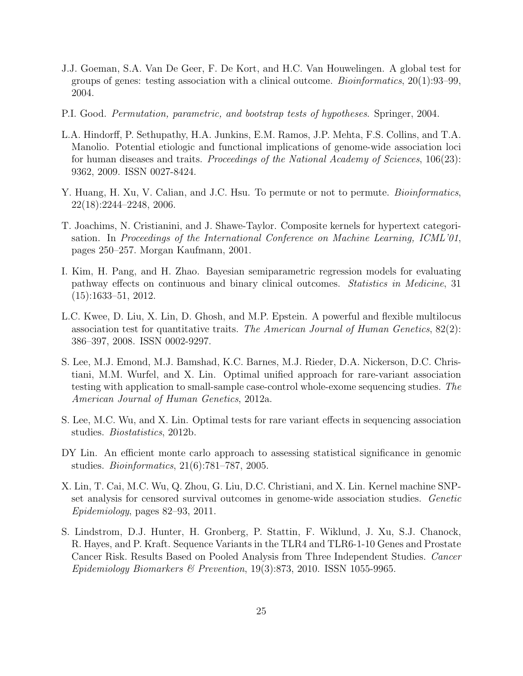- J.J. Goeman, S.A. Van De Geer, F. De Kort, and H.C. Van Houwelingen. A global test for groups of genes: testing association with a clinical outcome. *Bioinformatics*,  $20(1):93-99$ , 2004.
- P.I. Good. Permutation, parametric, and bootstrap tests of hypotheses. Springer, 2004.
- L.A. Hindorff, P. Sethupathy, H.A. Junkins, E.M. Ramos, J.P. Mehta, F.S. Collins, and T.A. Manolio. Potential etiologic and functional implications of genome-wide association loci for human diseases and traits. *Proceedings of the National Academy of Sciences*, 106(23): 9362, 2009. ISSN 0027-8424.
- Y. Huang, H. Xu, V. Calian, and J.C. Hsu. To permute or not to permute. *Bioinformatics*, 22(18):2244–2248, 2006.
- T. Joachims, N. Cristianini, and J. Shawe-Taylor. Composite kernels for hypertext categorisation. In Proceedings of the International Conference on Machine Learning, ICML'01, pages 250–257. Morgan Kaufmann, 2001.
- I. Kim, H. Pang, and H. Zhao. Bayesian semiparametric regression models for evaluating pathway effects on continuous and binary clinical outcomes. Statistics in Medicine, 31 (15):1633–51, 2012.
- L.C. Kwee, D. Liu, X. Lin, D. Ghosh, and M.P. Epstein. A powerful and flexible multilocus association test for quantitative traits. The American Journal of Human Genetics,  $82(2)$ : 386–397, 2008. ISSN 0002-9297.
- S. Lee, M.J. Emond, M.J. Bamshad, K.C. Barnes, M.J. Rieder, D.A. Nickerson, D.C. Christiani, M.M. Wurfel, and X. Lin. Optimal unified approach for rare-variant association testing with application to small-sample case-control whole-exome sequencing studies. The American Journal of Human Genetics, 2012a.
- S. Lee, M.C. Wu, and X. Lin. Optimal tests for rare variant effects in sequencing association studies. Biostatistics, 2012b.
- DY Lin. An efficient monte carlo approach to assessing statistical significance in genomic studies. Bioinformatics, 21(6):781–787, 2005.
- X. Lin, T. Cai, M.C. Wu, Q. Zhou, G. Liu, D.C. Christiani, and X. Lin. Kernel machine SNPset analysis for censored survival outcomes in genome-wide association studies. Genetic Epidemiology, pages 82–93, 2011.
- S. Lindstrom, D.J. Hunter, H. Gronberg, P. Stattin, F. Wiklund, J. Xu, S.J. Chanock, R. Hayes, and P. Kraft. Sequence Variants in the TLR4 and TLR6-1-10 Genes and Prostate Cancer Risk. Results Based on Pooled Analysis from Three Independent Studies. Cancer Epidemiology Biomarkers & Prevention, 19(3):873, 2010. ISSN 1055-9965.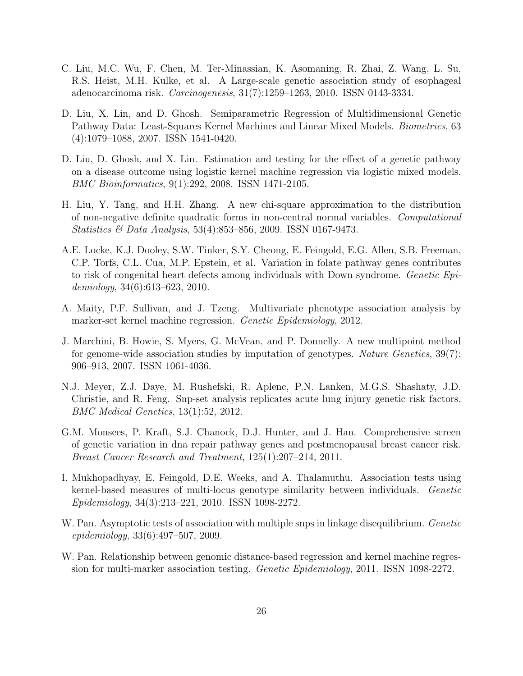- C. Liu, M.C. Wu, F. Chen, M. Ter-Minassian, K. Asomaning, R. Zhai, Z. Wang, L. Su, R.S. Heist, M.H. Kulke, et al. A Large-scale genetic association study of esophageal adenocarcinoma risk. Carcinogenesis, 31(7):1259–1263, 2010. ISSN 0143-3334.
- D. Liu, X. Lin, and D. Ghosh. Semiparametric Regression of Multidimensional Genetic Pathway Data: Least-Squares Kernel Machines and Linear Mixed Models. Biometrics, 63 (4):1079–1088, 2007. ISSN 1541-0420.
- D. Liu, D. Ghosh, and X. Lin. Estimation and testing for the effect of a genetic pathway on a disease outcome using logistic kernel machine regression via logistic mixed models. BMC Bioinformatics, 9(1):292, 2008. ISSN 1471-2105.
- H. Liu, Y. Tang, and H.H. Zhang. A new chi-square approximation to the distribution of non-negative definite quadratic forms in non-central normal variables. Computational Statistics & Data Analysis, 53(4):853–856, 2009. ISSN 0167-9473.
- A.E. Locke, K.J. Dooley, S.W. Tinker, S.Y. Cheong, E. Feingold, E.G. Allen, S.B. Freeman, C.P. Torfs, C.L. Cua, M.P. Epstein, et al. Variation in folate pathway genes contributes to risk of congenital heart defects among individuals with Down syndrome. Genetic Epidemiology, 34(6):613–623, 2010.
- A. Maity, P.F. Sullivan, and J. Tzeng. Multivariate phenotype association analysis by marker-set kernel machine regression. Genetic Epidemiology, 2012.
- J. Marchini, B. Howie, S. Myers, G. McVean, and P. Donnelly. A new multipoint method for genome-wide association studies by imputation of genotypes. Nature Genetics, 39(7): 906–913, 2007. ISSN 1061-4036.
- N.J. Meyer, Z.J. Daye, M. Rushefski, R. Aplenc, P.N. Lanken, M.G.S. Shashaty, J.D. Christie, and R. Feng. Snp-set analysis replicates acute lung injury genetic risk factors. BMC Medical Genetics, 13(1):52, 2012.
- G.M. Monsees, P. Kraft, S.J. Chanock, D.J. Hunter, and J. Han. Comprehensive screen of genetic variation in dna repair pathway genes and postmenopausal breast cancer risk. Breast Cancer Research and Treatment, 125(1):207–214, 2011.
- I. Mukhopadhyay, E. Feingold, D.E. Weeks, and A. Thalamuthu. Association tests using kernel-based measures of multi-locus genotype similarity between individuals. Genetic Epidemiology, 34(3):213–221, 2010. ISSN 1098-2272.
- W. Pan. Asymptotic tests of association with multiple snps in linkage disequilibrium. *Genetic* epidemiology, 33(6):497–507, 2009.
- W. Pan. Relationship between genomic distance-based regression and kernel machine regression for multi-marker association testing. Genetic Epidemiology, 2011. ISSN 1098-2272.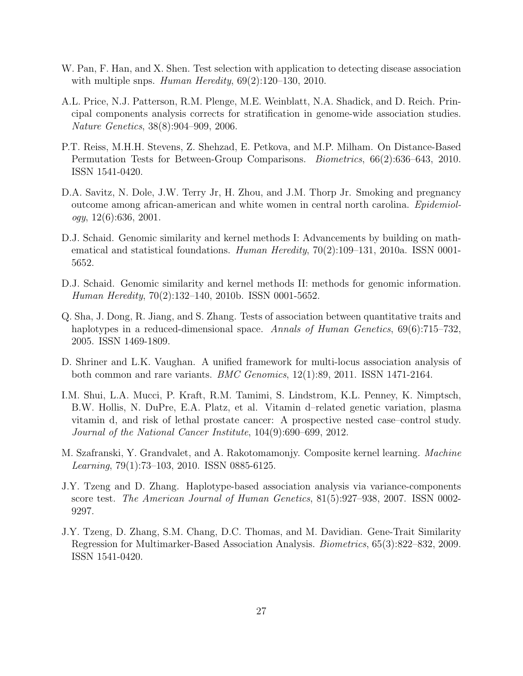- W. Pan, F. Han, and X. Shen. Test selection with application to detecting disease association with multiple snps. Human Heredity,  $69(2):120-130$ , 2010.
- A.L. Price, N.J. Patterson, R.M. Plenge, M.E. Weinblatt, N.A. Shadick, and D. Reich. Principal components analysis corrects for stratification in genome-wide association studies. Nature Genetics, 38(8):904–909, 2006.
- P.T. Reiss, M.H.H. Stevens, Z. Shehzad, E. Petkova, and M.P. Milham. On Distance-Based Permutation Tests for Between-Group Comparisons. Biometrics, 66(2):636–643, 2010. ISSN 1541-0420.
- D.A. Savitz, N. Dole, J.W. Terry Jr, H. Zhou, and J.M. Thorp Jr. Smoking and pregnancy outcome among african-american and white women in central north carolina. Epidemiol $oqy, 12(6):636, 2001.$
- D.J. Schaid. Genomic similarity and kernel methods I: Advancements by building on mathematical and statistical foundations. Human Heredity,  $70(2):109-131$ , 2010a. ISSN 0001-5652.
- D.J. Schaid. Genomic similarity and kernel methods II: methods for genomic information. Human Heredity, 70(2):132–140, 2010b. ISSN 0001-5652.
- Q. Sha, J. Dong, R. Jiang, and S. Zhang. Tests of association between quantitative traits and haplotypes in a reduced-dimensional space. Annals of Human Genetics, 69(6):715–732, 2005. ISSN 1469-1809.
- D. Shriner and L.K. Vaughan. A unified framework for multi-locus association analysis of both common and rare variants. *BMC Genomics*,  $12(1):89$ ,  $2011$ . ISSN 1471-2164.
- I.M. Shui, L.A. Mucci, P. Kraft, R.M. Tamimi, S. Lindstrom, K.L. Penney, K. Nimptsch, B.W. Hollis, N. DuPre, E.A. Platz, et al. Vitamin d–related genetic variation, plasma vitamin d, and risk of lethal prostate cancer: A prospective nested case–control study. Journal of the National Cancer Institute, 104(9):690–699, 2012.
- M. Szafranski, Y. Grandvalet, and A. Rakotomamonjy. Composite kernel learning. Machine Learning, 79(1):73–103, 2010. ISSN 0885-6125.
- J.Y. Tzeng and D. Zhang. Haplotype-based association analysis via variance-components score test. The American Journal of Human Genetics, 81(5):927–938, 2007. ISSN 0002- 9297.
- J.Y. Tzeng, D. Zhang, S.M. Chang, D.C. Thomas, and M. Davidian. Gene-Trait Similarity Regression for Multimarker-Based Association Analysis. Biometrics, 65(3):822–832, 2009. ISSN 1541-0420.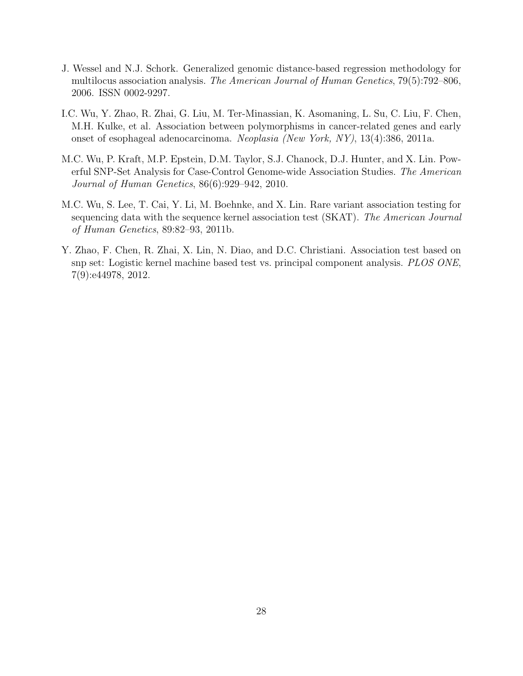- J. Wessel and N.J. Schork. Generalized genomic distance-based regression methodology for multilocus association analysis. The American Journal of Human Genetics, 79(5):792–806, 2006. ISSN 0002-9297.
- I.C. Wu, Y. Zhao, R. Zhai, G. Liu, M. Ter-Minassian, K. Asomaning, L. Su, C. Liu, F. Chen, M.H. Kulke, et al. Association between polymorphisms in cancer-related genes and early onset of esophageal adenocarcinoma. Neoplasia (New York, NY), 13(4):386, 2011a.
- M.C. Wu, P. Kraft, M.P. Epstein, D.M. Taylor, S.J. Chanock, D.J. Hunter, and X. Lin. Powerful SNP-Set Analysis for Case-Control Genome-wide Association Studies. The American Journal of Human Genetics, 86(6):929–942, 2010.
- M.C. Wu, S. Lee, T. Cai, Y. Li, M. Boehnke, and X. Lin. Rare variant association testing for sequencing data with the sequence kernel association test (SKAT). The American Journal of Human Genetics, 89:82–93, 2011b.
- Y. Zhao, F. Chen, R. Zhai, X. Lin, N. Diao, and D.C. Christiani. Association test based on snp set: Logistic kernel machine based test vs. principal component analysis. PLOS ONE, 7(9):e44978, 2012.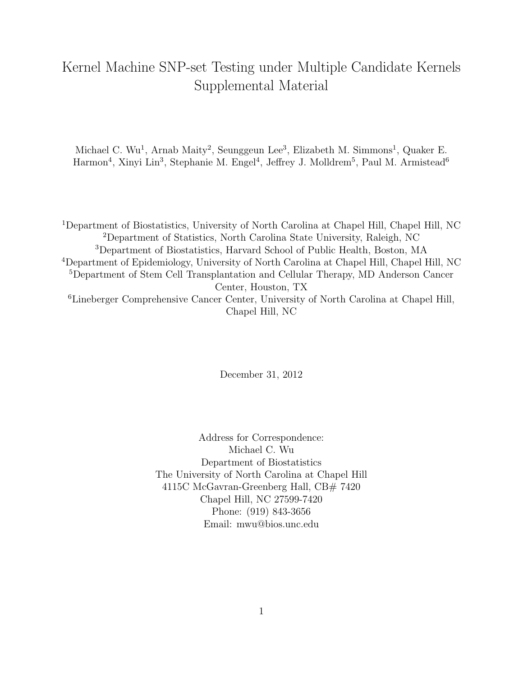# Kernel Machine SNP-set Testing under Multiple Candidate Kernels Supplemental Material

Michael C. Wu<sup>1</sup>, Arnab Maity<sup>2</sup>, Seunggeun Lee<sup>3</sup>, Elizabeth M. Simmons<sup>1</sup>, Quaker E. Harmon<sup>4</sup>, Xinyi Lin<sup>3</sup>, Stephanie M. Engel<sup>4</sup>, Jeffrey J. Molldrem<sup>5</sup>, Paul M. Armistead<sup>6</sup>

Department of Biostatistics, University of North Carolina at Chapel Hill, Chapel Hill, NC Department of Statistics, North Carolina State University, Raleigh, NC Department of Biostatistics, Harvard School of Public Health, Boston, MA Department of Epidemiology, University of North Carolina at Chapel Hill, Chapel Hill, NC Department of Stem Cell Transplantation and Cellular Therapy, MD Anderson Cancer Center, Houston, TX Lineberger Comprehensive Cancer Center, University of North Carolina at Chapel Hill, Chapel Hill, NC

December 31, 2012

Address for Correspondence: Michael C. Wu Department of Biostatistics The University of North Carolina at Chapel Hill 4115C McGavran-Greenberg Hall, CB# 7420 Chapel Hill, NC 27599-7420 Phone: (919) 843-3656 Email: mwu@bios.unc.edu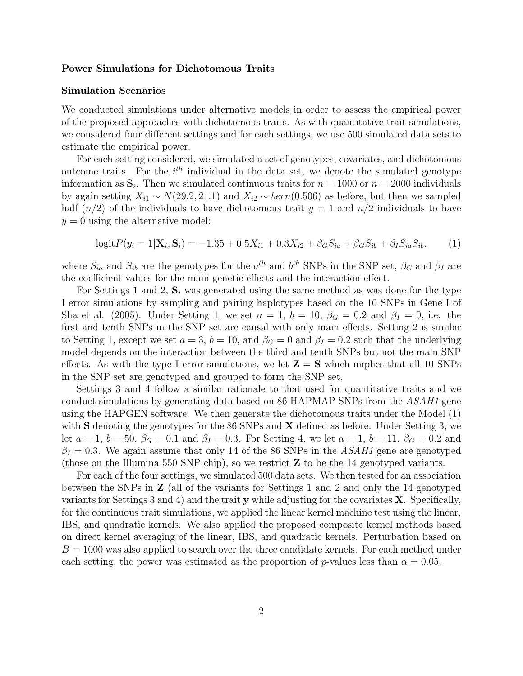#### Power Simulations for Dichotomous Traits

#### Simulation Scenarios

We conducted simulations under alternative models in order to assess the empirical power of the proposed approaches with dichotomous traits. As with quantitative trait simulations, we considered four different settings and for each settings, we use 500 simulated data sets to estimate the empirical power.

For each setting considered, we simulated a set of genotypes, covariates, and dichotomous outcome traits. For the  $i<sup>th</sup>$  individual in the data set, we denote the simulated genotype information as  $S_i$ . Then we simulated continuous traits for  $n = 1000$  or  $n = 2000$  individuals by again setting  $X_{i1} \sim N(29.2, 21.1)$  and  $X_{i2} \sim bern(0.506)$  as before, but then we sampled half  $(n/2)$  of the individuals to have dichotomous trait  $y = 1$  and  $n/2$  individuals to have  $y = 0$  using the alternative model:

$$
logit P(y_i = 1 | \mathbf{X}_i, \mathbf{S}_i) = -1.35 + 0.5X_{i1} + 0.3X_{i2} + \beta_G S_{ia} + \beta_G S_{ib} + \beta_I S_{ia} S_{ib}.
$$
 (1)

where  $S_{ia}$  and  $S_{ib}$  are the genotypes for the  $a^{th}$  and  $b^{th}$  SNPs in the SNP set,  $\beta_G$  and  $\beta_I$  are the coefficient values for the main genetic effects and the interaction effect.

For Settings 1 and 2,  $S_i$  was generated using the same method as was done for the type I error simulations by sampling and pairing haplotypes based on the 10 SNPs in Gene I of Sha et al. (2005). Under Setting 1, we set  $a = 1$ ,  $b = 10$ ,  $\beta_G = 0.2$  and  $\beta_I = 0$ , i.e. the first and tenth SNPs in the SNP set are causal with only main effects. Setting 2 is similar to Setting 1, except we set  $a = 3$ ,  $b = 10$ , and  $\beta<sub>G</sub> = 0$  and  $\beta<sub>I</sub> = 0.2$  such that the underlying model depends on the interaction between the third and tenth SNPs but not the main SNP effects. As with the type I error simulations, we let  $\mathbf{Z} = \mathbf{S}$  which implies that all 10 SNPs in the SNP set are genotyped and grouped to form the SNP set.

Settings 3 and 4 follow a similar rationale to that used for quantitative traits and we conduct simulations by generating data based on 86 HAPMAP SNPs from the ASAH1 gene using the HAPGEN software. We then generate the dichotomous traits under the Model (1) with  $S$  denoting the genotypes for the 86 SNPs and  $X$  defined as before. Under Setting 3, we let  $a = 1, b = 50, \beta_G = 0.1$  and  $\beta_I = 0.3$ . For Setting 4, we let  $a = 1, b = 11, \beta_G = 0.2$  and  $\beta_I = 0.3$ . We again assume that only 14 of the 86 SNPs in the ASAH1 gene are genotyped (those on the Illumina 550 SNP chip), so we restrict  $Z$  to be the 14 genotyped variants.

For each of the four settings, we simulated 500 data sets. We then tested for an association between the SNPs in Z (all of the variants for Settings 1 and 2 and only the 14 genotyped variants for Settings 3 and 4) and the trait y while adjusting for the covariates X. Specifically, for the continuous trait simulations, we applied the linear kernel machine test using the linear, IBS, and quadratic kernels. We also applied the proposed composite kernel methods based on direct kernel averaging of the linear, IBS, and quadratic kernels. Perturbation based on  $B = 1000$  was also applied to search over the three candidate kernels. For each method under each setting, the power was estimated as the proportion of p-values less than  $\alpha = 0.05$ .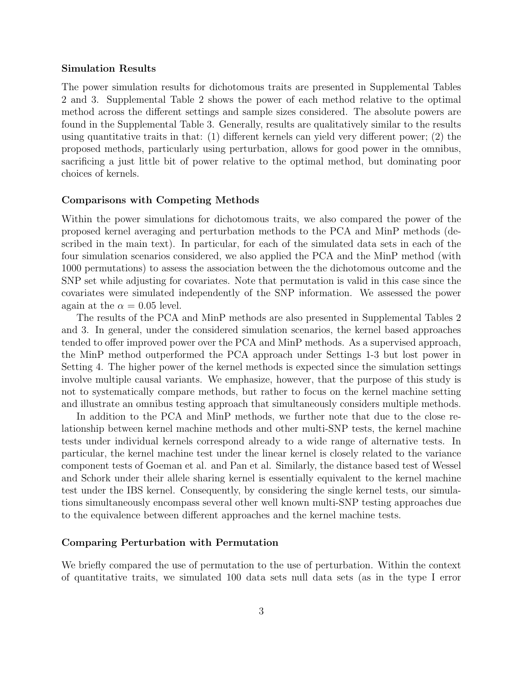#### Simulation Results

The power simulation results for dichotomous traits are presented in Supplemental Tables 2 and 3. Supplemental Table 2 shows the power of each method relative to the optimal method across the different settings and sample sizes considered. The absolute powers are found in the Supplemental Table 3. Generally, results are qualitatively similar to the results using quantitative traits in that:  $(1)$  different kernels can yield very different power;  $(2)$  the proposed methods, particularly using perturbation, allows for good power in the omnibus, sacrificing a just little bit of power relative to the optimal method, but dominating poor choices of kernels.

#### Comparisons with Competing Methods

Within the power simulations for dichotomous traits, we also compared the power of the proposed kernel averaging and perturbation methods to the PCA and MinP methods (described in the main text). In particular, for each of the simulated data sets in each of the four simulation scenarios considered, we also applied the PCA and the MinP method (with 1000 permutations) to assess the association between the the dichotomous outcome and the SNP set while adjusting for covariates. Note that permutation is valid in this case since the covariates were simulated independently of the SNP information. We assessed the power again at the  $\alpha = 0.05$  level.

The results of the PCA and MinP methods are also presented in Supplemental Tables 2 and 3. In general, under the considered simulation scenarios, the kernel based approaches tended to offer improved power over the PCA and MinP methods. As a supervised approach, the MinP method outperformed the PCA approach under Settings 1-3 but lost power in Setting 4. The higher power of the kernel methods is expected since the simulation settings involve multiple causal variants. We emphasize, however, that the purpose of this study is not to systematically compare methods, but rather to focus on the kernel machine setting and illustrate an omnibus testing approach that simultaneously considers multiple methods.

In addition to the PCA and MinP methods, we further note that due to the close relationship between kernel machine methods and other multi-SNP tests, the kernel machine tests under individual kernels correspond already to a wide range of alternative tests. In particular, the kernel machine test under the linear kernel is closely related to the variance component tests of Goeman et al. and Pan et al. Similarly, the distance based test of Wessel and Schork under their allele sharing kernel is essentially equivalent to the kernel machine test under the IBS kernel. Consequently, by considering the single kernel tests, our simulations simultaneously encompass several other well known multi-SNP testing approaches due to the equivalence between different approaches and the kernel machine tests.

#### Comparing Perturbation with Permutation

We briefly compared the use of permutation to the use of perturbation. Within the context of quantitative traits, we simulated 100 data sets null data sets (as in the type I error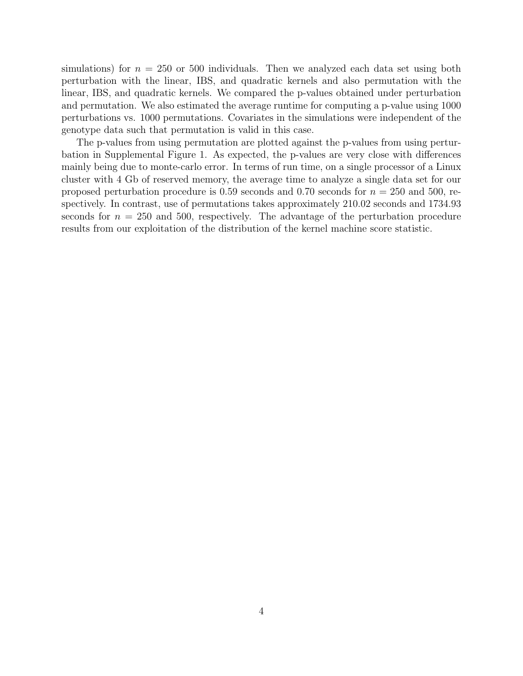simulations) for  $n = 250$  or 500 individuals. Then we analyzed each data set using both perturbation with the linear, IBS, and quadratic kernels and also permutation with the linear, IBS, and quadratic kernels. We compared the p-values obtained under perturbation and permutation. We also estimated the average runtime for computing a p-value using 1000 perturbations vs. 1000 permutations. Covariates in the simulations were independent of the genotype data such that permutation is valid in this case.

The p-values from using permutation are plotted against the p-values from using perturbation in Supplemental Figure 1. As expected, the p-values are very close with differences mainly being due to monte-carlo error. In terms of run time, on a single processor of a Linux cluster with 4 Gb of reserved memory, the average time to analyze a single data set for our proposed perturbation procedure is 0.59 seconds and 0.70 seconds for  $n = 250$  and 500, respectively. In contrast, use of permutations takes approximately 210.02 seconds and 1734.93 seconds for  $n = 250$  and 500, respectively. The advantage of the perturbation procedure results from our exploitation of the distribution of the kernel machine score statistic.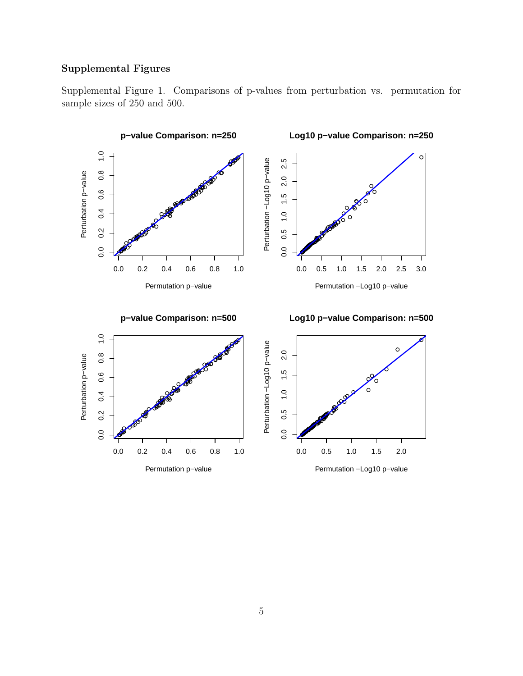# Supplemental Figures

Supplemental Figure 1. Comparisons of p-values from perturbation vs. permutation for sample sizes of 250 and 500.

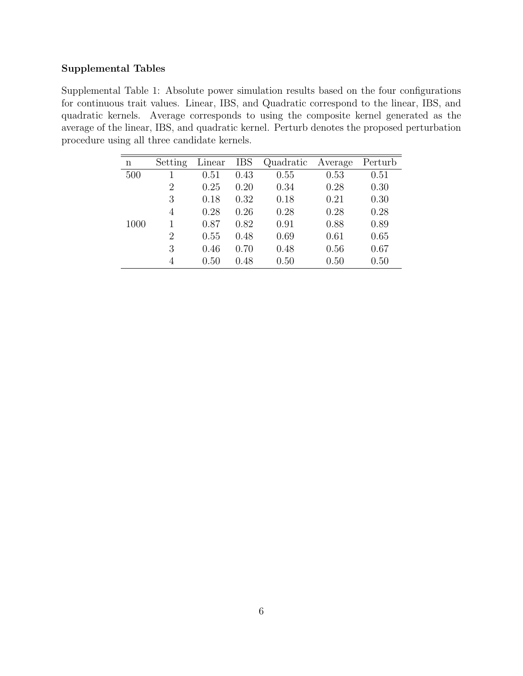# Supplemental Tables

Supplemental Table 1: Absolute power simulation results based on the four configurations for continuous trait values. Linear, IBS, and Quadratic correspond to the linear, IBS, and quadratic kernels. Average corresponds to using the composite kernel generated as the average of the linear, IBS, and quadratic kernel. Perturb denotes the proposed perturbation procedure using all three candidate kernels.

| n    | Setting        | Linear | <b>IBS</b> | Quadratic | Average | Perturb |
|------|----------------|--------|------------|-----------|---------|---------|
| 500  |                | 0.51   | 0.43       | 0.55      | 0.53    | 0.51    |
|      | 2              | 0.25   | 0.20       | 0.34      | 0.28    | 0.30    |
|      | 3              | 0.18   | 0.32       | 0.18      | 0.21    | 0.30    |
|      | $\overline{4}$ | 0.28   | 0.26       | 0.28      | 0.28    | 0.28    |
| 1000 |                | 0.87   | 0.82       | 0.91      | 0.88    | 0.89    |
|      | 2              | 0.55   | 0.48       | 0.69      | 0.61    | 0.65    |
|      | 3              | 0.46   | 0.70       | 0.48      | 0.56    | 0.67    |
|      | $\overline{4}$ | 0.50   | 0.48       | 0.50      | 0.50    | 0.50    |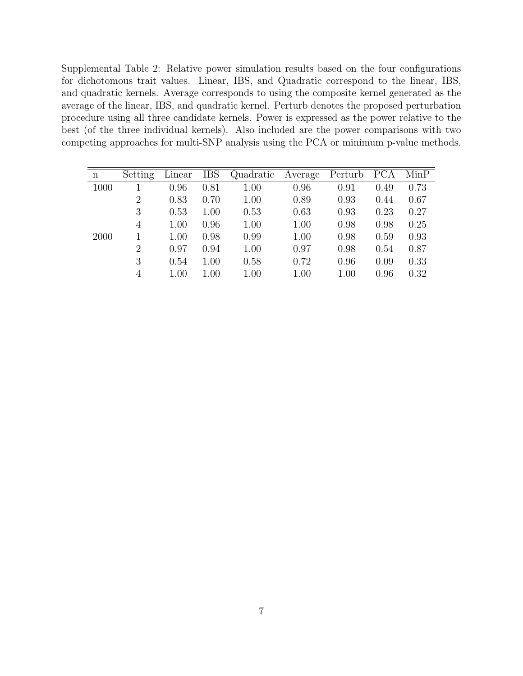Supplemental Table 2: Relative power simulation results based on the four configurations for dichotomous trait values. Linear, IBS, and Quadratic correspond to the linear, IBS, and quadratic kernels. Average corresponds to using the composite kernel generated as the average of the linear, IBS, and quadratic kernel. Perturb denotes the proposed perturbation procedure using all three candidate kernels. Power is expressed as the power relative to the best (of the three individual kernels). Also included are the power comparisons with two competing approaches for multi-SNP analysis using the PCA or minimum p-value methods.

| n    | Setting | Linear | <b>IBS</b> | Quadratic | Average | Perturb | <b>PCA</b> | MinP |
|------|---------|--------|------------|-----------|---------|---------|------------|------|
| 1000 |         | 0.96   | 0.81       | 1.00      | 0.96    | 0.91    | 0.49       | 0.73 |
|      | 2       | 0.83   | 0.70       | 1.00      | 0.89    | 0.93    | 0.44       | 0.67 |
|      | 3       | 0.53   | 1.00       | 0.53      | 0.63    | 0.93    | 0.23       | 0.27 |
|      | 4       | 1.00   | 0.96       | 1.00      | 1.00    | 0.98    | 0.98       | 0.25 |
| 2000 |         | 1.00   | 0.98       | 0.99      | 1.00    | 0.98    | 0.59       | 0.93 |
|      | 2       | 0.97   | 0.94       | 1.00      | 0.97    | 0.98    | 0.54       | 0.87 |
|      | 3       | 0.54   | 1.00       | 0.58      | 0.72    | 0.96    | 0.09       | 0.33 |
|      | 4       | 1.00   | 1.00       | 1.00      | 1.00    | 1.00    | 0.96       | 0.32 |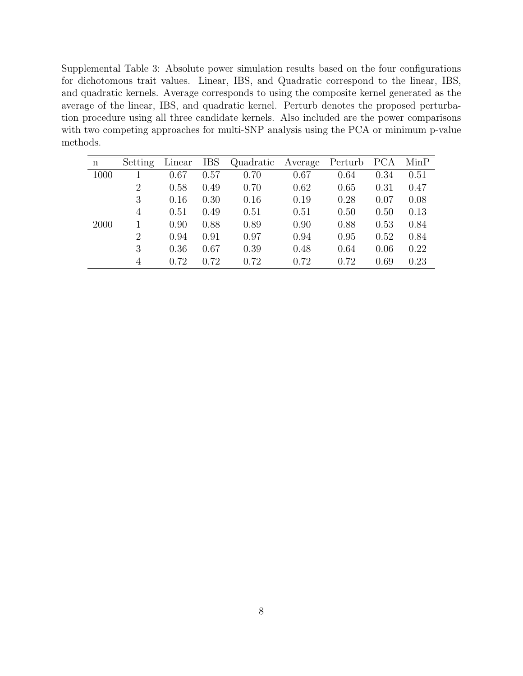Supplemental Table 3: Absolute power simulation results based on the four configurations for dichotomous trait values. Linear, IBS, and Quadratic correspond to the linear, IBS, and quadratic kernels. Average corresponds to using the composite kernel generated as the average of the linear, IBS, and quadratic kernel. Perturb denotes the proposed perturbation procedure using all three candidate kernels. Also included are the power comparisons with two competing approaches for multi-SNP analysis using the PCA or minimum p-value methods.

| $\mathbf n$ | Setting | Linear | <b>IBS</b> | Quadratic | Average | Perturb | <b>PCA</b> | MinP |
|-------------|---------|--------|------------|-----------|---------|---------|------------|------|
| 1000        |         | 0.67   | 0.57       | 0.70      | 0.67    | 0.64    | 0.34       | 0.51 |
|             | 2       | 0.58   | 0.49       | 0.70      | 0.62    | 0.65    | 0.31       | 0.47 |
|             | 3       | 0.16   | 0.30       | 0.16      | 0.19    | 0.28    | 0.07       | 0.08 |
|             | 4       | 0.51   | 0.49       | 0.51      | 0.51    | 0.50    | 0.50       | 0.13 |
| 2000        |         | 0.90   | 0.88       | 0.89      | 0.90    | 0.88    | 0.53       | 0.84 |
|             | 2       | 0.94   | 0.91       | 0.97      | 0.94    | 0.95    | 0.52       | 0.84 |
|             | 3       | 0.36   | 0.67       | 0.39      | 0.48    | 0.64    | 0.06       | 0.22 |
|             | 4       | 0.72   | 0.72       | 0.72      | 0.72    | 0.72    | 0.69       | 0.23 |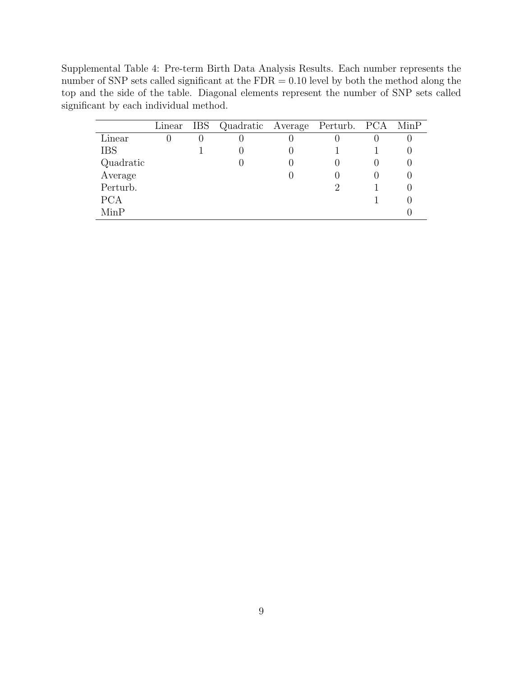Supplemental Table 4: Pre-term Birth Data Analysis Results. Each number represents the number of SNP sets called significant at the FDR = 0.10 level by both the method along the top and the side of the table. Diagonal elements represent the number of SNP sets called significant by each individual method.

|            |  | Linear IBS Quadratic Average Perturb. PCA MinP |    |  |
|------------|--|------------------------------------------------|----|--|
| Linear     |  |                                                |    |  |
| <b>IBS</b> |  |                                                |    |  |
| Quadratic  |  |                                                |    |  |
| Average    |  |                                                |    |  |
| Perturb.   |  |                                                | ٠, |  |
| <b>PCA</b> |  |                                                |    |  |
| MinP       |  |                                                |    |  |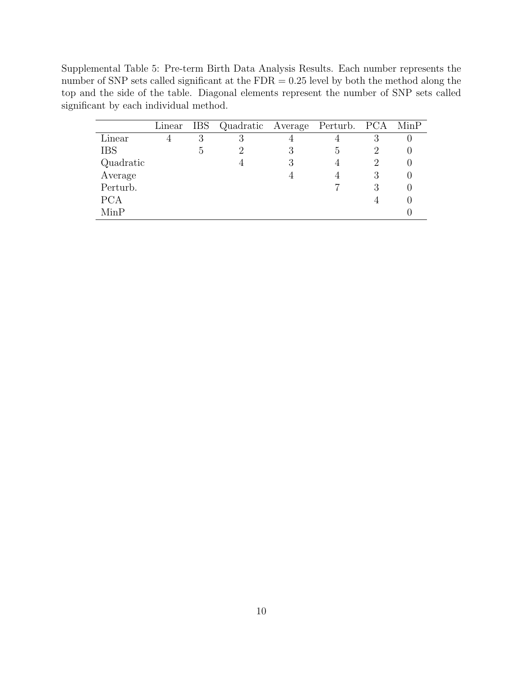Supplemental Table 5: Pre-term Birth Data Analysis Results. Each number represents the number of SNP sets called significant at the FDR = 0.25 level by both the method along the top and the side of the table. Diagonal elements represent the number of SNP sets called significant by each individual method.

|            |   |    | Linear IBS Quadratic Average Perturb. PCA MinP |   |            |    |  |
|------------|---|----|------------------------------------------------|---|------------|----|--|
| Linear     | 4 | 3  | 3                                              |   |            | 3  |  |
| <b>IBS</b> |   | 5. |                                                | 3 | $\ddot{c}$ | ٠, |  |
| Quadratic  |   |    |                                                |   |            | ٠, |  |
| Average    |   |    |                                                |   |            | 3  |  |
| Perturb.   |   |    |                                                |   |            | З  |  |
| <b>PCA</b> |   |    |                                                |   |            |    |  |
| MinP       |   |    |                                                |   |            |    |  |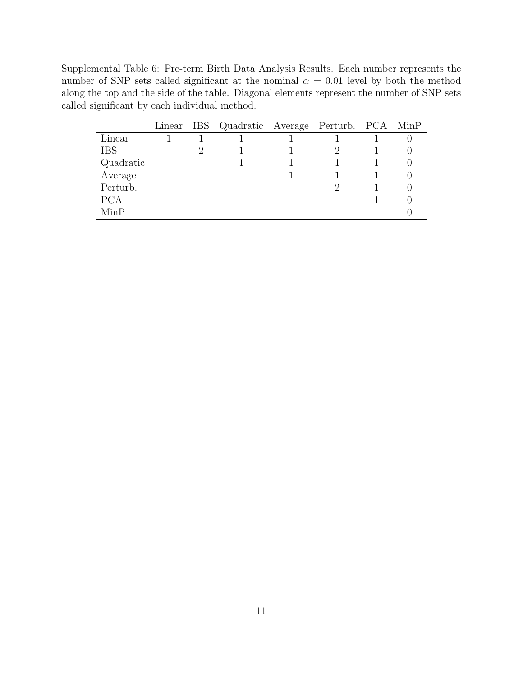Supplemental Table 6: Pre-term Birth Data Analysis Results. Each number represents the number of SNP sets called significant at the nominal  $\alpha = 0.01$  level by both the method along the top and the side of the table. Diagonal elements represent the number of SNP sets called significant by each individual method.

|            |  | Linear IBS Quadratic Average Perturb. PCA MinP |               |  |
|------------|--|------------------------------------------------|---------------|--|
| Linear     |  |                                                |               |  |
| <b>IBS</b> |  |                                                | $\mathcal{D}$ |  |
| Quadratic  |  |                                                |               |  |
| Average    |  |                                                |               |  |
| Perturb.   |  |                                                | റ             |  |
| <b>PCA</b> |  |                                                |               |  |
| MinP       |  |                                                |               |  |